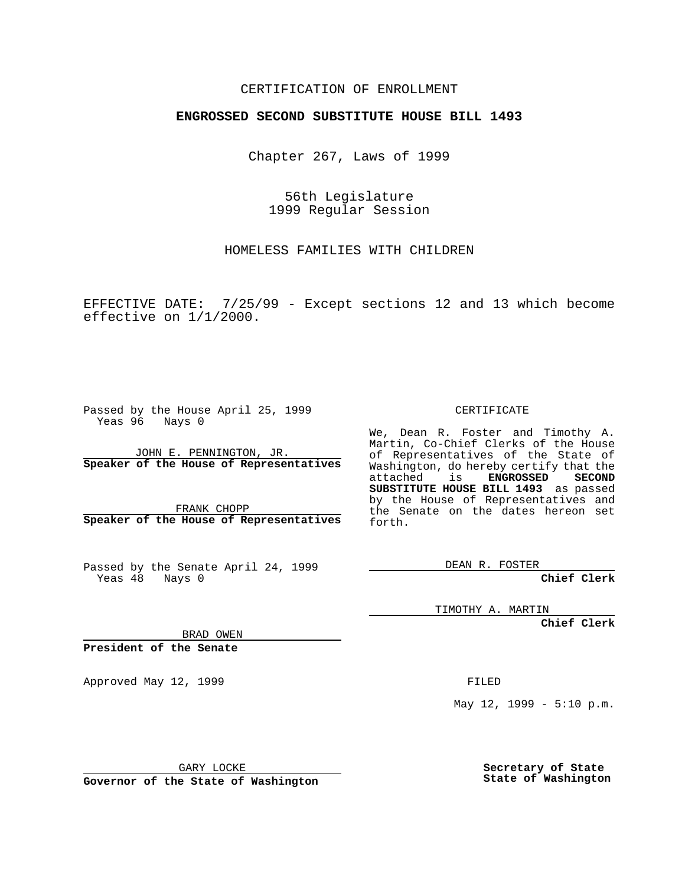### CERTIFICATION OF ENROLLMENT

# **ENGROSSED SECOND SUBSTITUTE HOUSE BILL 1493**

Chapter 267, Laws of 1999

56th Legislature 1999 Regular Session

HOMELESS FAMILIES WITH CHILDREN

EFFECTIVE DATE: 7/25/99 - Except sections 12 and 13 which become effective on 1/1/2000.

Passed by the House April 25, 1999 Yeas 96 Nays 0

JOHN E. PENNINGTON, JR. **Speaker of the House of Representatives**

FRANK CHOPP **Speaker of the House of Representatives**

Passed by the Senate April 24, 1999 Yeas 48 Nays 0

CERTIFICATE

We, Dean R. Foster and Timothy A. Martin, Co-Chief Clerks of the House of Representatives of the State of Washington, do hereby certify that the<br>attached is **ENGROSSED SECOND**  $ENGROSSED$ **SUBSTITUTE HOUSE BILL 1493** as passed by the House of Representatives and the Senate on the dates hereon set forth.

DEAN R. FOSTER

**Chief Clerk**

TIMOTHY A. MARTIN

**Chief Clerk**

BRAD OWEN

**President of the Senate**

Approved May 12, 1999 **FILED** 

May  $12$ ,  $1999 - 5:10$  p.m.

GARY LOCKE

**Governor of the State of Washington**

**Secretary of State State of Washington**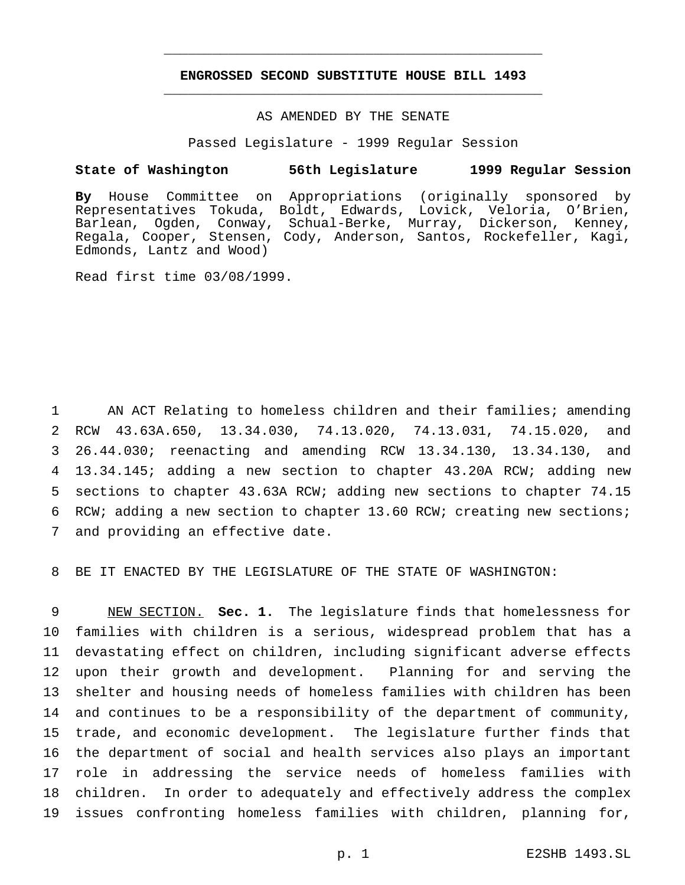## **ENGROSSED SECOND SUBSTITUTE HOUSE BILL 1493** \_\_\_\_\_\_\_\_\_\_\_\_\_\_\_\_\_\_\_\_\_\_\_\_\_\_\_\_\_\_\_\_\_\_\_\_\_\_\_\_\_\_\_\_\_\_\_

\_\_\_\_\_\_\_\_\_\_\_\_\_\_\_\_\_\_\_\_\_\_\_\_\_\_\_\_\_\_\_\_\_\_\_\_\_\_\_\_\_\_\_\_\_\_\_

### AS AMENDED BY THE SENATE

Passed Legislature - 1999 Regular Session

#### **State of Washington 56th Legislature 1999 Regular Session**

**By** House Committee on Appropriations (originally sponsored by Representatives Tokuda, Boldt, Edwards, Lovick, Veloria, O'Brien, Barlean, Ogden, Conway, Schual-Berke, Murray, Dickerson, Kenney, Regala, Cooper, Stensen, Cody, Anderson, Santos, Rockefeller, Kagi, Edmonds, Lantz and Wood)

Read first time 03/08/1999.

 AN ACT Relating to homeless children and their families; amending RCW 43.63A.650, 13.34.030, 74.13.020, 74.13.031, 74.15.020, and 26.44.030; reenacting and amending RCW 13.34.130, 13.34.130, and 13.34.145; adding a new section to chapter 43.20A RCW; adding new sections to chapter 43.63A RCW; adding new sections to chapter 74.15 RCW; adding a new section to chapter 13.60 RCW; creating new sections; and providing an effective date.

8 BE IT ENACTED BY THE LEGISLATURE OF THE STATE OF WASHINGTON:

 NEW SECTION. **Sec. 1.** The legislature finds that homelessness for families with children is a serious, widespread problem that has a devastating effect on children, including significant adverse effects upon their growth and development. Planning for and serving the shelter and housing needs of homeless families with children has been and continues to be a responsibility of the department of community, trade, and economic development. The legislature further finds that the department of social and health services also plays an important role in addressing the service needs of homeless families with children. In order to adequately and effectively address the complex issues confronting homeless families with children, planning for,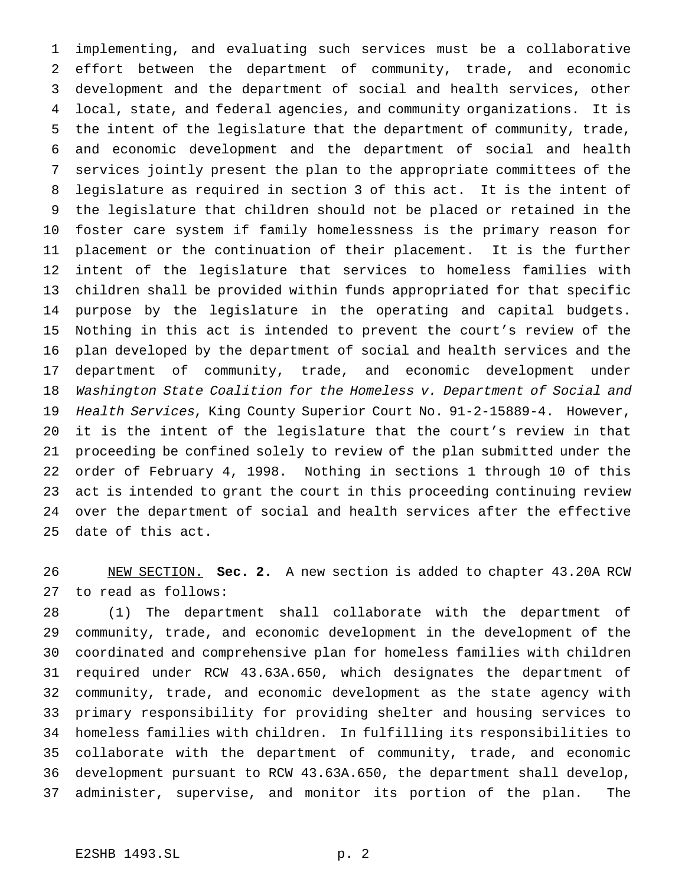implementing, and evaluating such services must be a collaborative effort between the department of community, trade, and economic development and the department of social and health services, other local, state, and federal agencies, and community organizations. It is the intent of the legislature that the department of community, trade, and economic development and the department of social and health services jointly present the plan to the appropriate committees of the legislature as required in section 3 of this act. It is the intent of the legislature that children should not be placed or retained in the foster care system if family homelessness is the primary reason for placement or the continuation of their placement. It is the further intent of the legislature that services to homeless families with children shall be provided within funds appropriated for that specific purpose by the legislature in the operating and capital budgets. Nothing in this act is intended to prevent the court's review of the plan developed by the department of social and health services and the department of community, trade, and economic development under Washington State Coalition for the Homeless v. Department of Social and Health Services, King County Superior Court No. 91-2-15889-4. However, it is the intent of the legislature that the court's review in that proceeding be confined solely to review of the plan submitted under the order of February 4, 1998. Nothing in sections 1 through 10 of this act is intended to grant the court in this proceeding continuing review over the department of social and health services after the effective date of this act.

 NEW SECTION. **Sec. 2.** A new section is added to chapter 43.20A RCW to read as follows:

 (1) The department shall collaborate with the department of community, trade, and economic development in the development of the coordinated and comprehensive plan for homeless families with children required under RCW 43.63A.650, which designates the department of community, trade, and economic development as the state agency with primary responsibility for providing shelter and housing services to homeless families with children. In fulfilling its responsibilities to collaborate with the department of community, trade, and economic development pursuant to RCW 43.63A.650, the department shall develop, administer, supervise, and monitor its portion of the plan. The

# E2SHB 1493.SL p. 2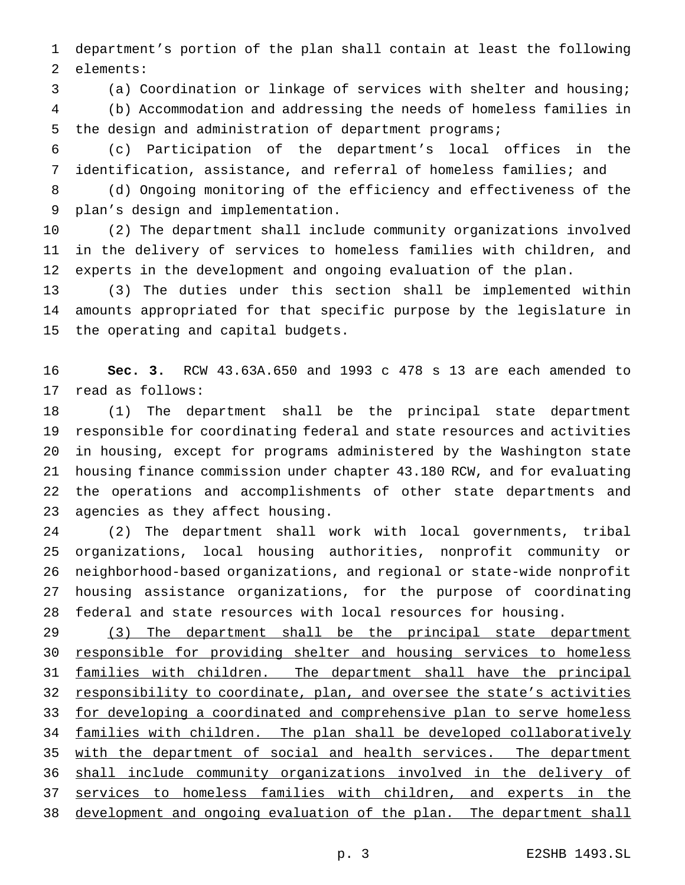department's portion of the plan shall contain at least the following elements:

(a) Coordination or linkage of services with shelter and housing;

 (b) Accommodation and addressing the needs of homeless families in the design and administration of department programs;

 (c) Participation of the department's local offices in the identification, assistance, and referral of homeless families; and

 (d) Ongoing monitoring of the efficiency and effectiveness of the plan's design and implementation.

 (2) The department shall include community organizations involved in the delivery of services to homeless families with children, and experts in the development and ongoing evaluation of the plan.

 (3) The duties under this section shall be implemented within amounts appropriated for that specific purpose by the legislature in the operating and capital budgets.

 **Sec. 3.** RCW 43.63A.650 and 1993 c 478 s 13 are each amended to read as follows:

 (1) The department shall be the principal state department responsible for coordinating federal and state resources and activities in housing, except for programs administered by the Washington state housing finance commission under chapter 43.180 RCW, and for evaluating the operations and accomplishments of other state departments and agencies as they affect housing.

 (2) The department shall work with local governments, tribal organizations, local housing authorities, nonprofit community or neighborhood-based organizations, and regional or state-wide nonprofit housing assistance organizations, for the purpose of coordinating federal and state resources with local resources for housing.

29 (3) The department shall be the principal state department responsible for providing shelter and housing services to homeless families with children. The department shall have the principal responsibility to coordinate, plan, and oversee the state's activities 33 for developing a coordinated and comprehensive plan to serve homeless families with children. The plan shall be developed collaboratively 35 with the department of social and health services. The department shall include community organizations involved in the delivery of 37 services to homeless families with children, and experts in the development and ongoing evaluation of the plan. The department shall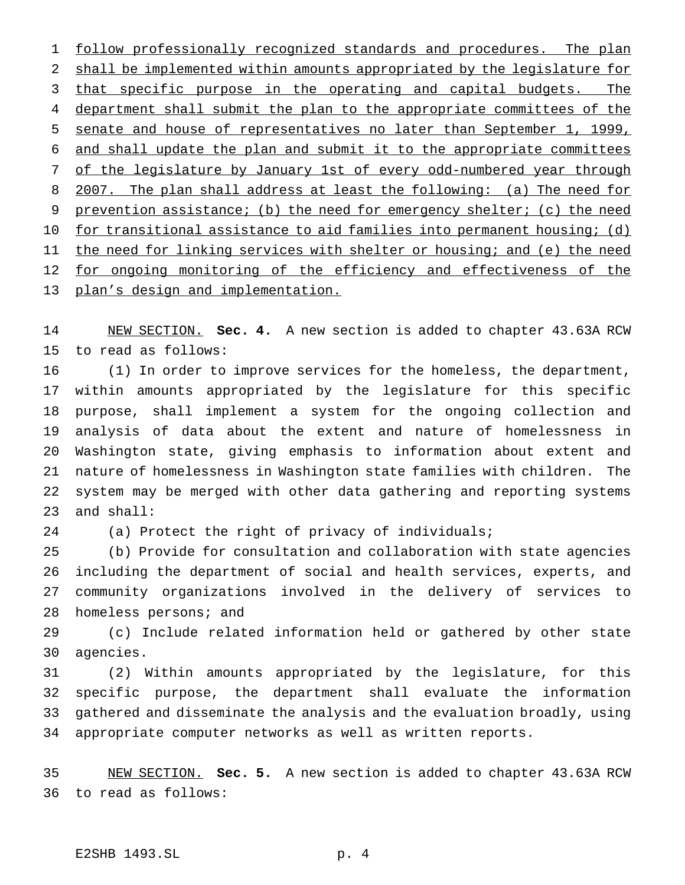follow professionally recognized standards and procedures. The plan shall be implemented within amounts appropriated by the legislature for 3 that specific purpose in the operating and capital budgets. The 4 department shall submit the plan to the appropriate committees of the senate and house of representatives no later than September 1, 1999, and shall update the plan and submit it to the appropriate committees 7 of the legislature by January 1st of every odd-numbered year through 2007. The plan shall address at least the following: (a) The need for prevention assistance; (b) the need for emergency shelter; (c) the need for transitional assistance to aid families into permanent housing; (d) 11 the need for linking services with shelter or housing; and (e) the need 12 for ongoing monitoring of the efficiency and effectiveness of the plan's design and implementation.

 NEW SECTION. **Sec. 4.** A new section is added to chapter 43.63A RCW to read as follows:

 (1) In order to improve services for the homeless, the department, within amounts appropriated by the legislature for this specific purpose, shall implement a system for the ongoing collection and analysis of data about the extent and nature of homelessness in Washington state, giving emphasis to information about extent and nature of homelessness in Washington state families with children. The system may be merged with other data gathering and reporting systems and shall:

(a) Protect the right of privacy of individuals;

 (b) Provide for consultation and collaboration with state agencies including the department of social and health services, experts, and community organizations involved in the delivery of services to 28 homeless persons; and

 (c) Include related information held or gathered by other state agencies.

 (2) Within amounts appropriated by the legislature, for this specific purpose, the department shall evaluate the information gathered and disseminate the analysis and the evaluation broadly, using appropriate computer networks as well as written reports.

 NEW SECTION. **Sec. 5.** A new section is added to chapter 43.63A RCW to read as follows: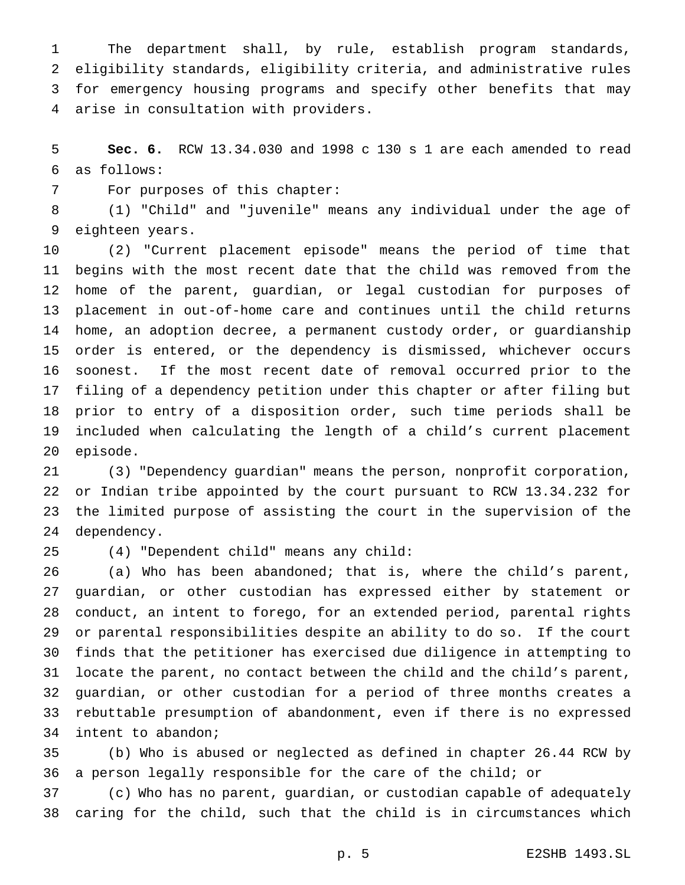The department shall, by rule, establish program standards, eligibility standards, eligibility criteria, and administrative rules for emergency housing programs and specify other benefits that may arise in consultation with providers.

 **Sec. 6.** RCW 13.34.030 and 1998 c 130 s 1 are each amended to read as follows:

For purposes of this chapter:

 (1) "Child" and "juvenile" means any individual under the age of eighteen years.

 (2) "Current placement episode" means the period of time that begins with the most recent date that the child was removed from the home of the parent, guardian, or legal custodian for purposes of placement in out-of-home care and continues until the child returns home, an adoption decree, a permanent custody order, or guardianship order is entered, or the dependency is dismissed, whichever occurs soonest. If the most recent date of removal occurred prior to the filing of a dependency petition under this chapter or after filing but prior to entry of a disposition order, such time periods shall be included when calculating the length of a child's current placement episode.

 (3) "Dependency guardian" means the person, nonprofit corporation, or Indian tribe appointed by the court pursuant to RCW 13.34.232 for the limited purpose of assisting the court in the supervision of the dependency.

(4) "Dependent child" means any child:

 (a) Who has been abandoned; that is, where the child's parent, guardian, or other custodian has expressed either by statement or conduct, an intent to forego, for an extended period, parental rights or parental responsibilities despite an ability to do so. If the court finds that the petitioner has exercised due diligence in attempting to locate the parent, no contact between the child and the child's parent, guardian, or other custodian for a period of three months creates a rebuttable presumption of abandonment, even if there is no expressed intent to abandon;

 (b) Who is abused or neglected as defined in chapter 26.44 RCW by a person legally responsible for the care of the child; or

 (c) Who has no parent, guardian, or custodian capable of adequately caring for the child, such that the child is in circumstances which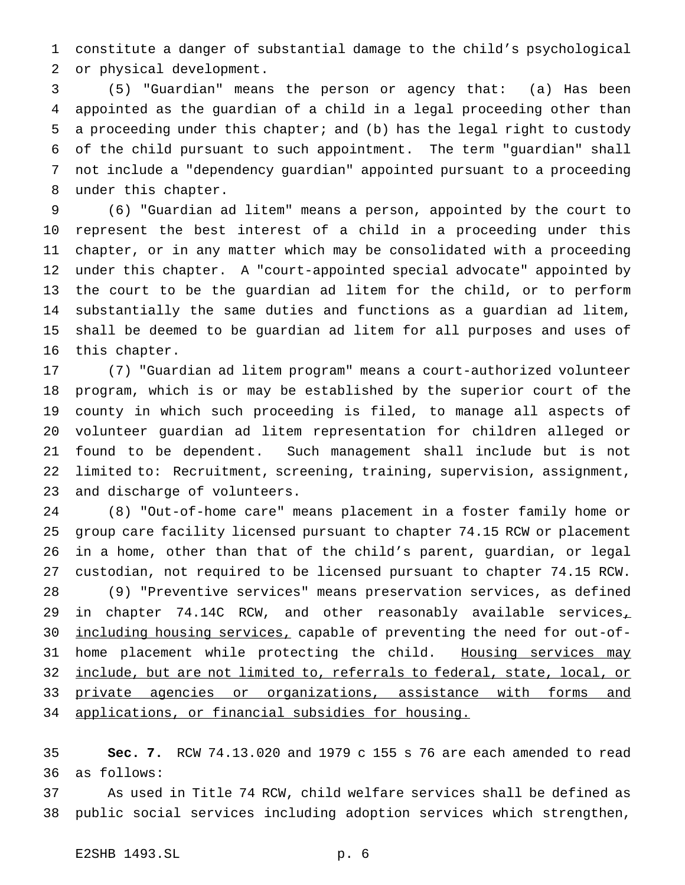constitute a danger of substantial damage to the child's psychological or physical development.

 (5) "Guardian" means the person or agency that: (a) Has been appointed as the guardian of a child in a legal proceeding other than a proceeding under this chapter; and (b) has the legal right to custody of the child pursuant to such appointment. The term "guardian" shall not include a "dependency guardian" appointed pursuant to a proceeding under this chapter.

 (6) "Guardian ad litem" means a person, appointed by the court to represent the best interest of a child in a proceeding under this chapter, or in any matter which may be consolidated with a proceeding under this chapter. A "court-appointed special advocate" appointed by the court to be the guardian ad litem for the child, or to perform substantially the same duties and functions as a guardian ad litem, shall be deemed to be guardian ad litem for all purposes and uses of this chapter.

 (7) "Guardian ad litem program" means a court-authorized volunteer program, which is or may be established by the superior court of the county in which such proceeding is filed, to manage all aspects of volunteer guardian ad litem representation for children alleged or found to be dependent. Such management shall include but is not limited to: Recruitment, screening, training, supervision, assignment, and discharge of volunteers.

 (8) "Out-of-home care" means placement in a foster family home or group care facility licensed pursuant to chapter 74.15 RCW or placement in a home, other than that of the child's parent, guardian, or legal custodian, not required to be licensed pursuant to chapter 74.15 RCW. (9) "Preventive services" means preservation services, as defined 29 in chapter 74.14C RCW, and other reasonably available services<sub>1</sub> including housing services, capable of preventing the need for out-of-31 home placement while protecting the child. Housing services may include, but are not limited to, referrals to federal, state, local, or 33 private agencies or organizations, assistance with forms and applications, or financial subsidies for housing.

 **Sec. 7.** RCW 74.13.020 and 1979 c 155 s 76 are each amended to read as follows:

 As used in Title 74 RCW, child welfare services shall be defined as public social services including adoption services which strengthen,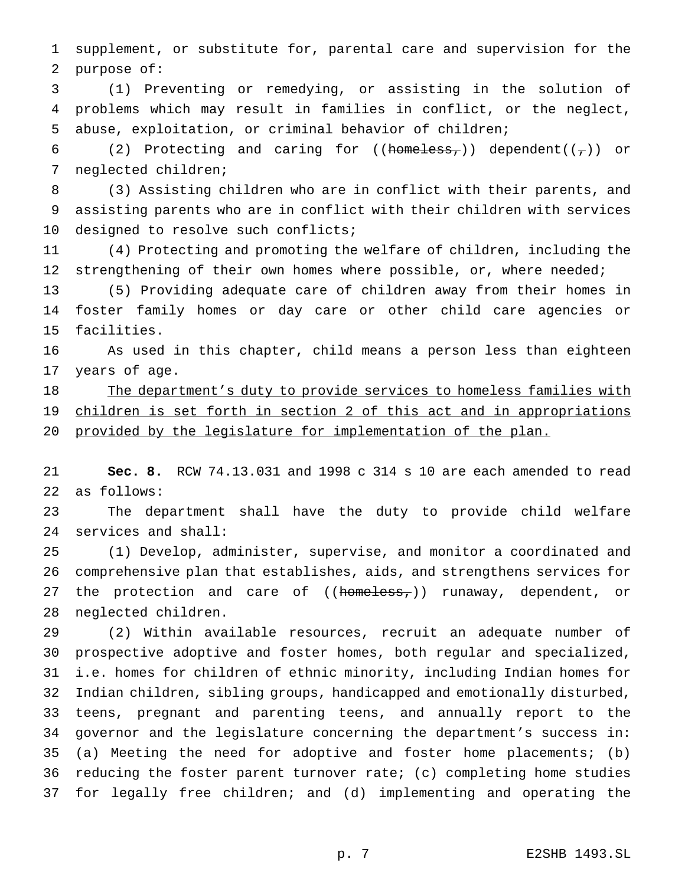supplement, or substitute for, parental care and supervision for the purpose of:

 (1) Preventing or remedying, or assisting in the solution of problems which may result in families in conflict, or the neglect, abuse, exploitation, or criminal behavior of children;

6 (2) Protecting and caring for ((homeless,)) dependent( $(\tau)$ ) or neglected children;

 (3) Assisting children who are in conflict with their parents, and assisting parents who are in conflict with their children with services 10 designed to resolve such conflicts;

 (4) Protecting and promoting the welfare of children, including the 12 strengthening of their own homes where possible, or, where needed;

 (5) Providing adequate care of children away from their homes in foster family homes or day care or other child care agencies or facilities.

 As used in this chapter, child means a person less than eighteen years of age.

18 The department's duty to provide services to homeless families with 19 children is set forth in section 2 of this act and in appropriations 20 provided by the legislature for implementation of the plan.

 **Sec. 8.** RCW 74.13.031 and 1998 c 314 s 10 are each amended to read as follows:

 The department shall have the duty to provide child welfare services and shall:

 (1) Develop, administer, supervise, and monitor a coordinated and comprehensive plan that establishes, aids, and strengthens services for 27 the protection and care of ((homeless,)) runaway, dependent, or neglected children.

 (2) Within available resources, recruit an adequate number of prospective adoptive and foster homes, both regular and specialized, i.e. homes for children of ethnic minority, including Indian homes for Indian children, sibling groups, handicapped and emotionally disturbed, teens, pregnant and parenting teens, and annually report to the governor and the legislature concerning the department's success in: (a) Meeting the need for adoptive and foster home placements; (b) reducing the foster parent turnover rate; (c) completing home studies for legally free children; and (d) implementing and operating the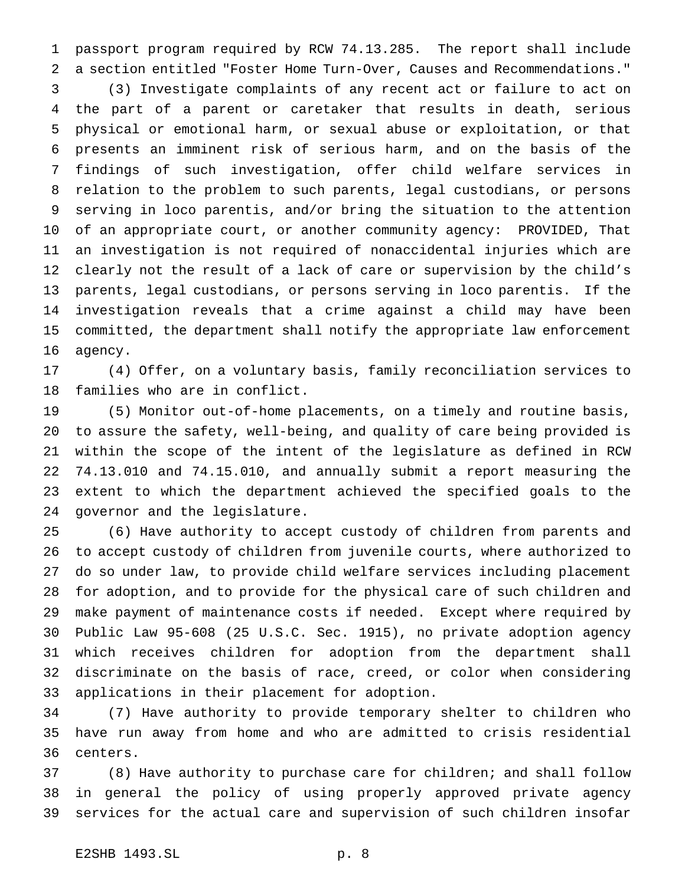passport program required by RCW 74.13.285. The report shall include a section entitled "Foster Home Turn-Over, Causes and Recommendations."

 (3) Investigate complaints of any recent act or failure to act on the part of a parent or caretaker that results in death, serious physical or emotional harm, or sexual abuse or exploitation, or that presents an imminent risk of serious harm, and on the basis of the findings of such investigation, offer child welfare services in relation to the problem to such parents, legal custodians, or persons serving in loco parentis, and/or bring the situation to the attention of an appropriate court, or another community agency: PROVIDED, That an investigation is not required of nonaccidental injuries which are clearly not the result of a lack of care or supervision by the child's parents, legal custodians, or persons serving in loco parentis. If the investigation reveals that a crime against a child may have been committed, the department shall notify the appropriate law enforcement agency.

 (4) Offer, on a voluntary basis, family reconciliation services to families who are in conflict.

 (5) Monitor out-of-home placements, on a timely and routine basis, to assure the safety, well-being, and quality of care being provided is within the scope of the intent of the legislature as defined in RCW 74.13.010 and 74.15.010, and annually submit a report measuring the extent to which the department achieved the specified goals to the governor and the legislature.

 (6) Have authority to accept custody of children from parents and to accept custody of children from juvenile courts, where authorized to do so under law, to provide child welfare services including placement for adoption, and to provide for the physical care of such children and make payment of maintenance costs if needed. Except where required by Public Law 95-608 (25 U.S.C. Sec. 1915), no private adoption agency which receives children for adoption from the department shall discriminate on the basis of race, creed, or color when considering applications in their placement for adoption.

 (7) Have authority to provide temporary shelter to children who have run away from home and who are admitted to crisis residential centers.

 (8) Have authority to purchase care for children; and shall follow in general the policy of using properly approved private agency services for the actual care and supervision of such children insofar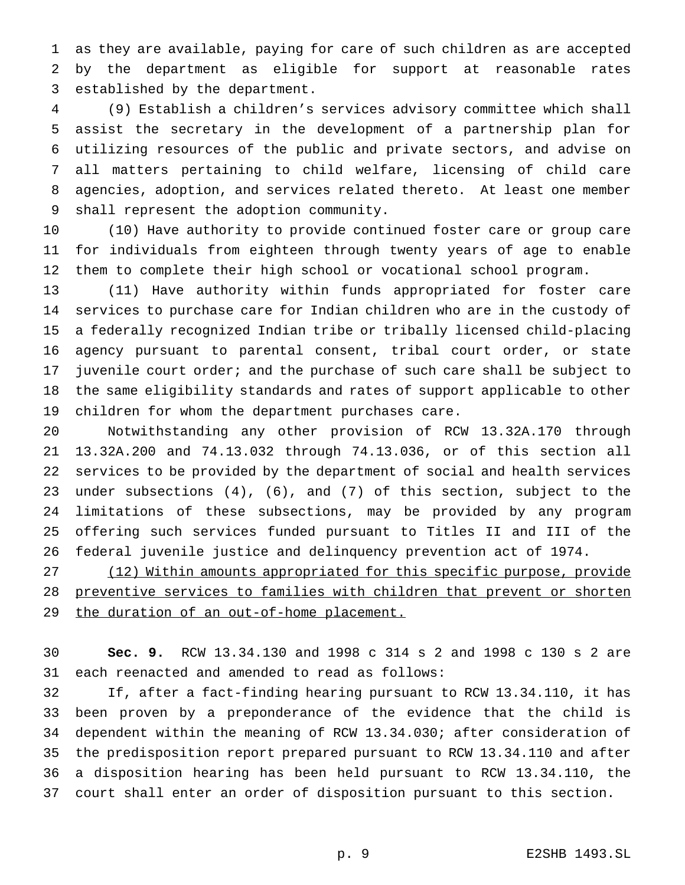as they are available, paying for care of such children as are accepted by the department as eligible for support at reasonable rates established by the department.

 (9) Establish a children's services advisory committee which shall assist the secretary in the development of a partnership plan for utilizing resources of the public and private sectors, and advise on all matters pertaining to child welfare, licensing of child care agencies, adoption, and services related thereto. At least one member shall represent the adoption community.

 (10) Have authority to provide continued foster care or group care for individuals from eighteen through twenty years of age to enable them to complete their high school or vocational school program.

 (11) Have authority within funds appropriated for foster care services to purchase care for Indian children who are in the custody of a federally recognized Indian tribe or tribally licensed child-placing agency pursuant to parental consent, tribal court order, or state juvenile court order; and the purchase of such care shall be subject to the same eligibility standards and rates of support applicable to other children for whom the department purchases care.

 Notwithstanding any other provision of RCW 13.32A.170 through 13.32A.200 and 74.13.032 through 74.13.036, or of this section all services to be provided by the department of social and health services under subsections (4), (6), and (7) of this section, subject to the limitations of these subsections, may be provided by any program offering such services funded pursuant to Titles II and III of the federal juvenile justice and delinquency prevention act of 1974.

 (12) Within amounts appropriated for this specific purpose, provide preventive services to families with children that prevent or shorten 29 the duration of an out-of-home placement.

 **Sec. 9.** RCW 13.34.130 and 1998 c 314 s 2 and 1998 c 130 s 2 are each reenacted and amended to read as follows:

 If, after a fact-finding hearing pursuant to RCW 13.34.110, it has been proven by a preponderance of the evidence that the child is dependent within the meaning of RCW 13.34.030; after consideration of the predisposition report prepared pursuant to RCW 13.34.110 and after a disposition hearing has been held pursuant to RCW 13.34.110, the court shall enter an order of disposition pursuant to this section.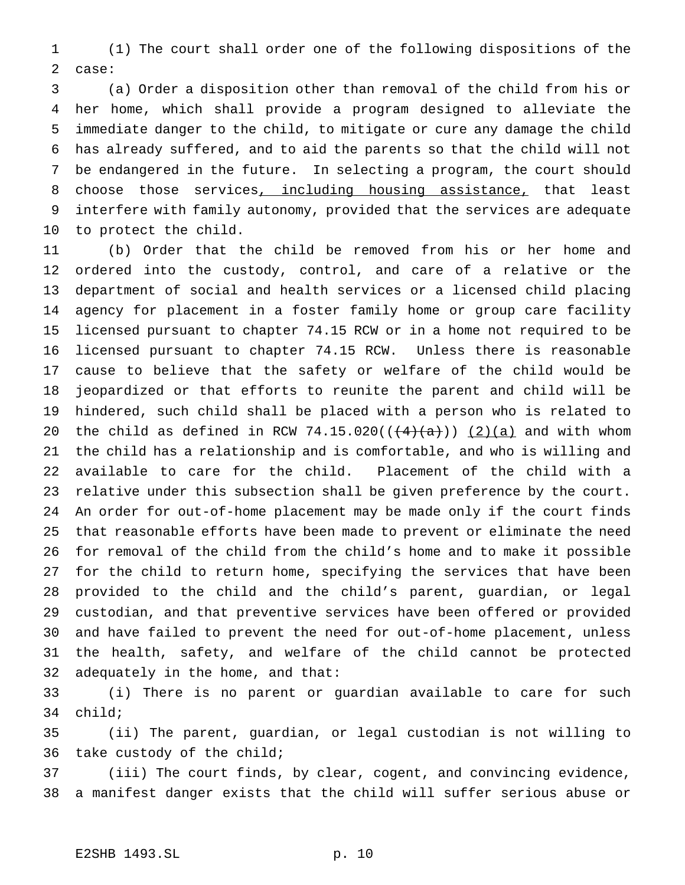(1) The court shall order one of the following dispositions of the case:

 (a) Order a disposition other than removal of the child from his or her home, which shall provide a program designed to alleviate the immediate danger to the child, to mitigate or cure any damage the child has already suffered, and to aid the parents so that the child will not be endangered in the future. In selecting a program, the court should 8 choose those services, including housing assistance, that least interfere with family autonomy, provided that the services are adequate to protect the child.

 (b) Order that the child be removed from his or her home and ordered into the custody, control, and care of a relative or the department of social and health services or a licensed child placing agency for placement in a foster family home or group care facility licensed pursuant to chapter 74.15 RCW or in a home not required to be licensed pursuant to chapter 74.15 RCW. Unless there is reasonable cause to believe that the safety or welfare of the child would be jeopardized or that efforts to reunite the parent and child will be hindered, such child shall be placed with a person who is related to 20 the child as defined in RCW 74.15.020( $(\frac{4}{a})$  (2)(a) and with whom the child has a relationship and is comfortable, and who is willing and available to care for the child. Placement of the child with a relative under this subsection shall be given preference by the court. An order for out-of-home placement may be made only if the court finds that reasonable efforts have been made to prevent or eliminate the need for removal of the child from the child's home and to make it possible for the child to return home, specifying the services that have been provided to the child and the child's parent, guardian, or legal custodian, and that preventive services have been offered or provided and have failed to prevent the need for out-of-home placement, unless the health, safety, and welfare of the child cannot be protected adequately in the home, and that:

 (i) There is no parent or guardian available to care for such child;

 (ii) The parent, guardian, or legal custodian is not willing to take custody of the child;

 (iii) The court finds, by clear, cogent, and convincing evidence, a manifest danger exists that the child will suffer serious abuse or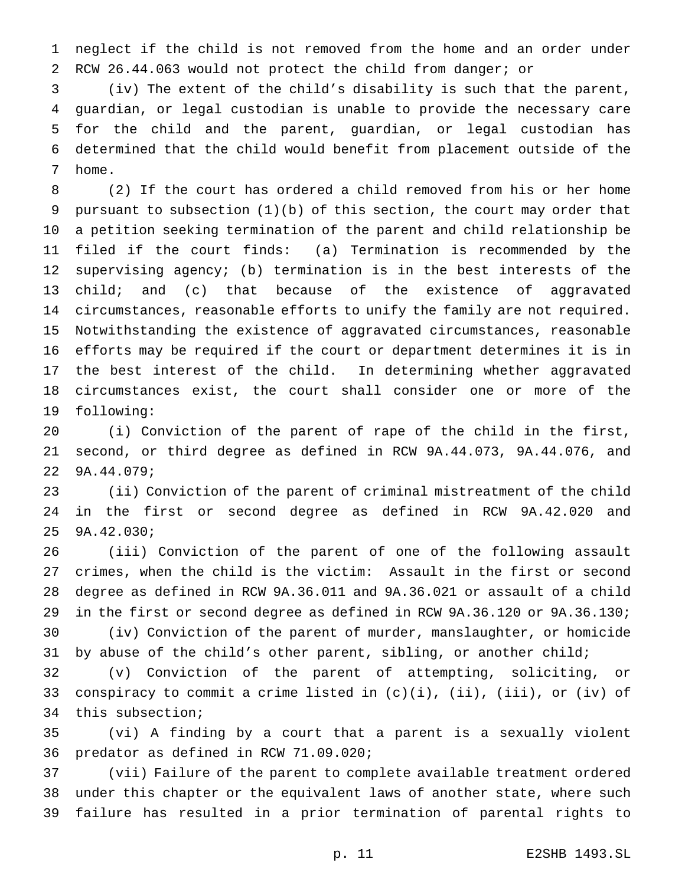neglect if the child is not removed from the home and an order under RCW 26.44.063 would not protect the child from danger; or

 (iv) The extent of the child's disability is such that the parent, guardian, or legal custodian is unable to provide the necessary care for the child and the parent, guardian, or legal custodian has determined that the child would benefit from placement outside of the home.

 (2) If the court has ordered a child removed from his or her home pursuant to subsection (1)(b) of this section, the court may order that a petition seeking termination of the parent and child relationship be filed if the court finds: (a) Termination is recommended by the supervising agency; (b) termination is in the best interests of the child; and (c) that because of the existence of aggravated circumstances, reasonable efforts to unify the family are not required. Notwithstanding the existence of aggravated circumstances, reasonable efforts may be required if the court or department determines it is in the best interest of the child. In determining whether aggravated circumstances exist, the court shall consider one or more of the following:

 (i) Conviction of the parent of rape of the child in the first, second, or third degree as defined in RCW 9A.44.073, 9A.44.076, and 9A.44.079;

 (ii) Conviction of the parent of criminal mistreatment of the child in the first or second degree as defined in RCW 9A.42.020 and 9A.42.030;

 (iii) Conviction of the parent of one of the following assault crimes, when the child is the victim: Assault in the first or second degree as defined in RCW 9A.36.011 and 9A.36.021 or assault of a child in the first or second degree as defined in RCW 9A.36.120 or 9A.36.130; (iv) Conviction of the parent of murder, manslaughter, or homicide 31 by abuse of the child's other parent, sibling, or another child;

 (v) Conviction of the parent of attempting, soliciting, or 33 conspiracy to commit a crime listed in  $(c)(i)$ ,  $(ii)$ ,  $(iii)$ , or  $(iv)$  of this subsection;

 (vi) A finding by a court that a parent is a sexually violent predator as defined in RCW 71.09.020;

 (vii) Failure of the parent to complete available treatment ordered under this chapter or the equivalent laws of another state, where such failure has resulted in a prior termination of parental rights to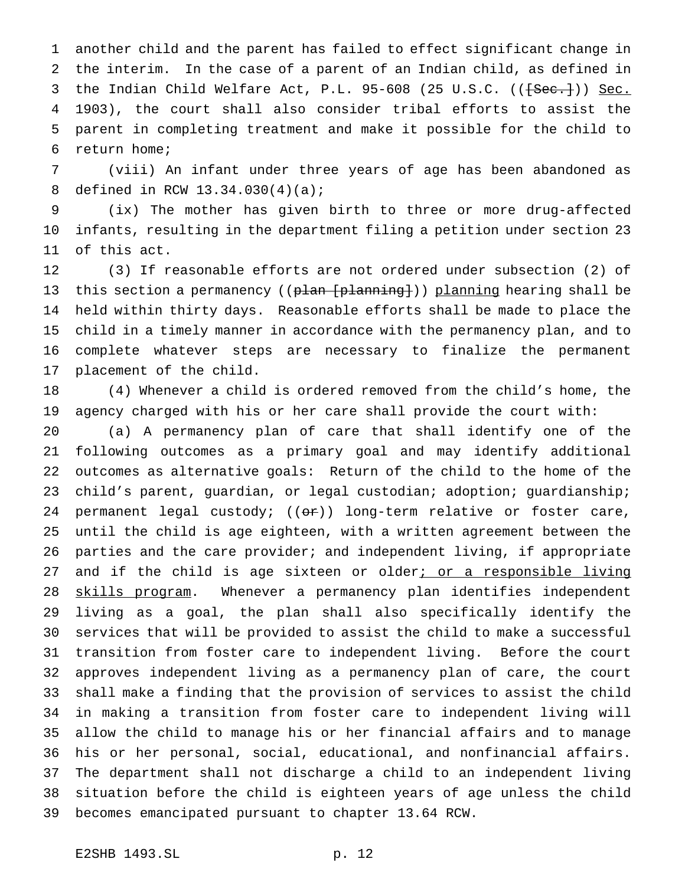another child and the parent has failed to effect significant change in the interim. In the case of a parent of an Indian child, as defined in 3 the Indian Child Welfare Act, P.L. 95-608 (25 U.S.C. ((<del>[Sec.]</del>)) Sec. 1903), the court shall also consider tribal efforts to assist the parent in completing treatment and make it possible for the child to return home;

 (viii) An infant under three years of age has been abandoned as defined in RCW 13.34.030(4)(a);

 (ix) The mother has given birth to three or more drug-affected infants, resulting in the department filing a petition under section 23 of this act.

 (3) If reasonable efforts are not ordered under subsection (2) of 13 this section a permanency ((plan [planning])) planning hearing shall be held within thirty days. Reasonable efforts shall be made to place the child in a timely manner in accordance with the permanency plan, and to complete whatever steps are necessary to finalize the permanent placement of the child.

 (4) Whenever a child is ordered removed from the child's home, the agency charged with his or her care shall provide the court with:

 (a) A permanency plan of care that shall identify one of the following outcomes as a primary goal and may identify additional outcomes as alternative goals: Return of the child to the home of the 23 child's parent, guardian, or legal custodian; adoption; guardianship; 24 permanent legal custody;  $((\theta \cdot \hat{r}))$  long-term relative or foster care, until the child is age eighteen, with a written agreement between the parties and the care provider; and independent living, if appropriate 27 and if the child is age sixteen or older; or a responsible living 28 skills program. Whenever a permanency plan identifies independent living as a goal, the plan shall also specifically identify the services that will be provided to assist the child to make a successful transition from foster care to independent living. Before the court approves independent living as a permanency plan of care, the court shall make a finding that the provision of services to assist the child in making a transition from foster care to independent living will allow the child to manage his or her financial affairs and to manage his or her personal, social, educational, and nonfinancial affairs. The department shall not discharge a child to an independent living situation before the child is eighteen years of age unless the child becomes emancipated pursuant to chapter 13.64 RCW.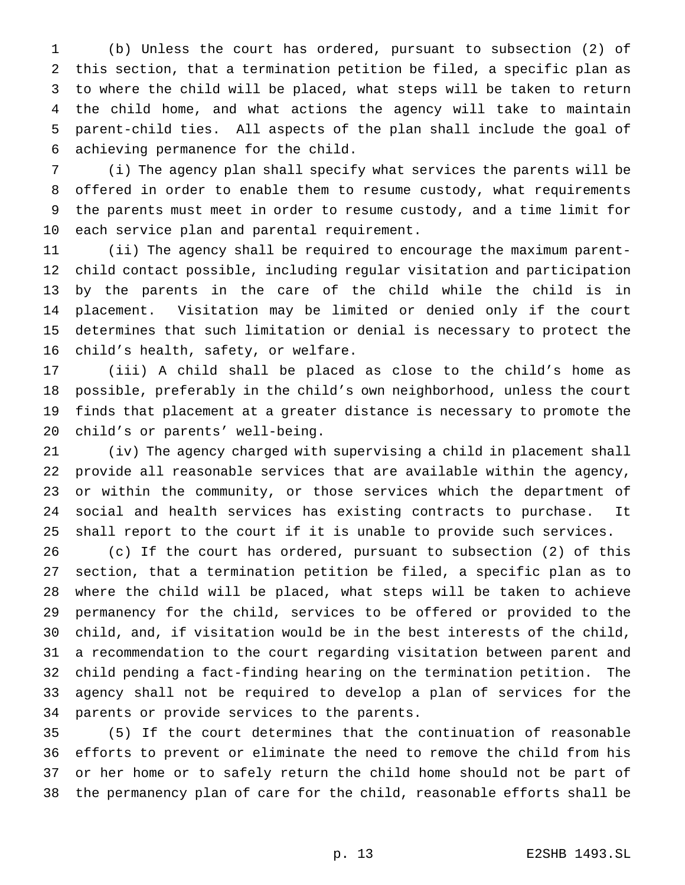(b) Unless the court has ordered, pursuant to subsection (2) of this section, that a termination petition be filed, a specific plan as to where the child will be placed, what steps will be taken to return the child home, and what actions the agency will take to maintain parent-child ties. All aspects of the plan shall include the goal of achieving permanence for the child.

 (i) The agency plan shall specify what services the parents will be offered in order to enable them to resume custody, what requirements the parents must meet in order to resume custody, and a time limit for each service plan and parental requirement.

 (ii) The agency shall be required to encourage the maximum parent- child contact possible, including regular visitation and participation by the parents in the care of the child while the child is in placement. Visitation may be limited or denied only if the court determines that such limitation or denial is necessary to protect the child's health, safety, or welfare.

 (iii) A child shall be placed as close to the child's home as possible, preferably in the child's own neighborhood, unless the court finds that placement at a greater distance is necessary to promote the child's or parents' well-being.

 (iv) The agency charged with supervising a child in placement shall provide all reasonable services that are available within the agency, or within the community, or those services which the department of social and health services has existing contracts to purchase. It shall report to the court if it is unable to provide such services.

 (c) If the court has ordered, pursuant to subsection (2) of this section, that a termination petition be filed, a specific plan as to where the child will be placed, what steps will be taken to achieve permanency for the child, services to be offered or provided to the child, and, if visitation would be in the best interests of the child, a recommendation to the court regarding visitation between parent and child pending a fact-finding hearing on the termination petition. The agency shall not be required to develop a plan of services for the parents or provide services to the parents.

 (5) If the court determines that the continuation of reasonable efforts to prevent or eliminate the need to remove the child from his or her home or to safely return the child home should not be part of the permanency plan of care for the child, reasonable efforts shall be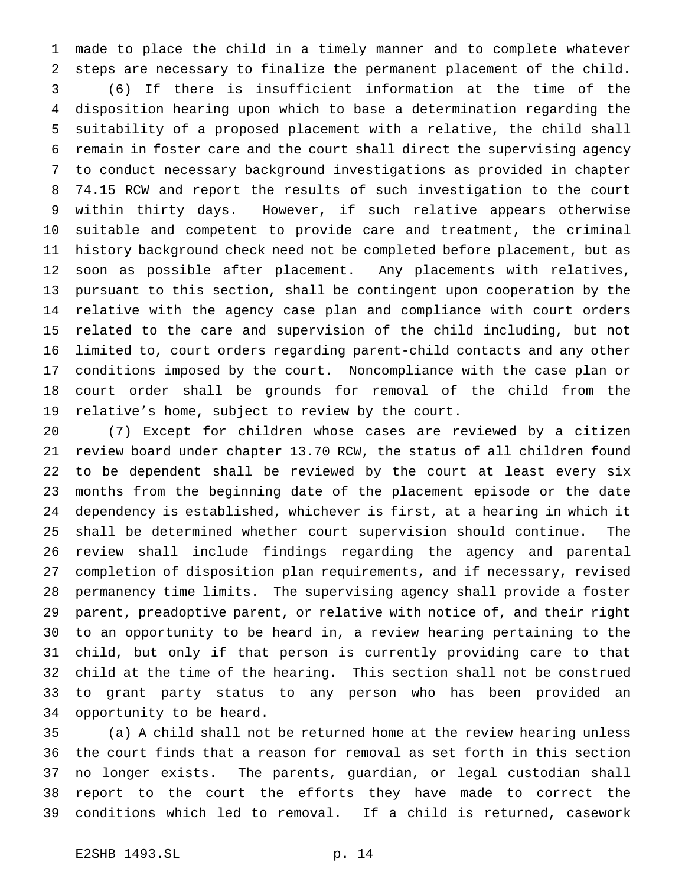made to place the child in a timely manner and to complete whatever steps are necessary to finalize the permanent placement of the child. (6) If there is insufficient information at the time of the disposition hearing upon which to base a determination regarding the suitability of a proposed placement with a relative, the child shall remain in foster care and the court shall direct the supervising agency to conduct necessary background investigations as provided in chapter 74.15 RCW and report the results of such investigation to the court within thirty days. However, if such relative appears otherwise suitable and competent to provide care and treatment, the criminal history background check need not be completed before placement, but as soon as possible after placement. Any placements with relatives, pursuant to this section, shall be contingent upon cooperation by the relative with the agency case plan and compliance with court orders related to the care and supervision of the child including, but not limited to, court orders regarding parent-child contacts and any other conditions imposed by the court. Noncompliance with the case plan or court order shall be grounds for removal of the child from the relative's home, subject to review by the court.

 (7) Except for children whose cases are reviewed by a citizen review board under chapter 13.70 RCW, the status of all children found to be dependent shall be reviewed by the court at least every six months from the beginning date of the placement episode or the date dependency is established, whichever is first, at a hearing in which it shall be determined whether court supervision should continue. The review shall include findings regarding the agency and parental completion of disposition plan requirements, and if necessary, revised permanency time limits. The supervising agency shall provide a foster parent, preadoptive parent, or relative with notice of, and their right to an opportunity to be heard in, a review hearing pertaining to the child, but only if that person is currently providing care to that child at the time of the hearing. This section shall not be construed to grant party status to any person who has been provided an opportunity to be heard.

 (a) A child shall not be returned home at the review hearing unless the court finds that a reason for removal as set forth in this section no longer exists. The parents, guardian, or legal custodian shall report to the court the efforts they have made to correct the conditions which led to removal. If a child is returned, casework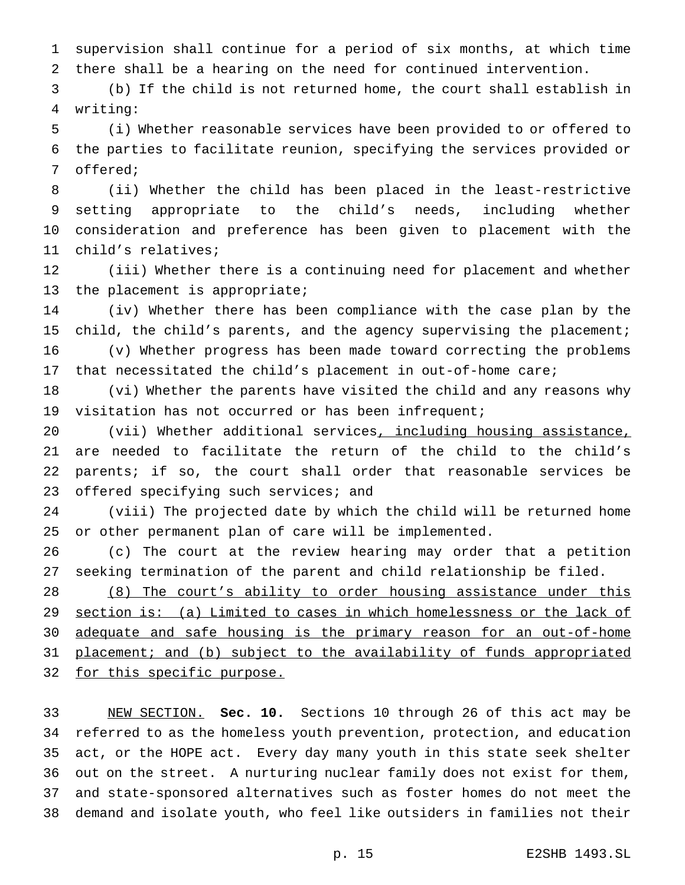supervision shall continue for a period of six months, at which time there shall be a hearing on the need for continued intervention.

 (b) If the child is not returned home, the court shall establish in writing:

 (i) Whether reasonable services have been provided to or offered to the parties to facilitate reunion, specifying the services provided or offered;

 (ii) Whether the child has been placed in the least-restrictive setting appropriate to the child's needs, including whether consideration and preference has been given to placement with the child's relatives;

 (iii) Whether there is a continuing need for placement and whether the placement is appropriate;

 (iv) Whether there has been compliance with the case plan by the child, the child's parents, and the agency supervising the placement; (v) Whether progress has been made toward correcting the problems

that necessitated the child's placement in out-of-home care;

 (vi) Whether the parents have visited the child and any reasons why visitation has not occurred or has been infrequent;

20 (vii) Whether additional services, including housing assistance, are needed to facilitate the return of the child to the child's parents; if so, the court shall order that reasonable services be 23 offered specifying such services; and

 (viii) The projected date by which the child will be returned home or other permanent plan of care will be implemented.

 (c) The court at the review hearing may order that a petition seeking termination of the parent and child relationship be filed.

 (8) The court's ability to order housing assistance under this section is: (a) Limited to cases in which homelessness or the lack of adequate and safe housing is the primary reason for an out-of-home 31 placement; and (b) subject to the availability of funds appropriated 32 for this specific purpose.

 NEW SECTION. **Sec. 10.** Sections 10 through 26 of this act may be referred to as the homeless youth prevention, protection, and education act, or the HOPE act. Every day many youth in this state seek shelter out on the street. A nurturing nuclear family does not exist for them, and state-sponsored alternatives such as foster homes do not meet the demand and isolate youth, who feel like outsiders in families not their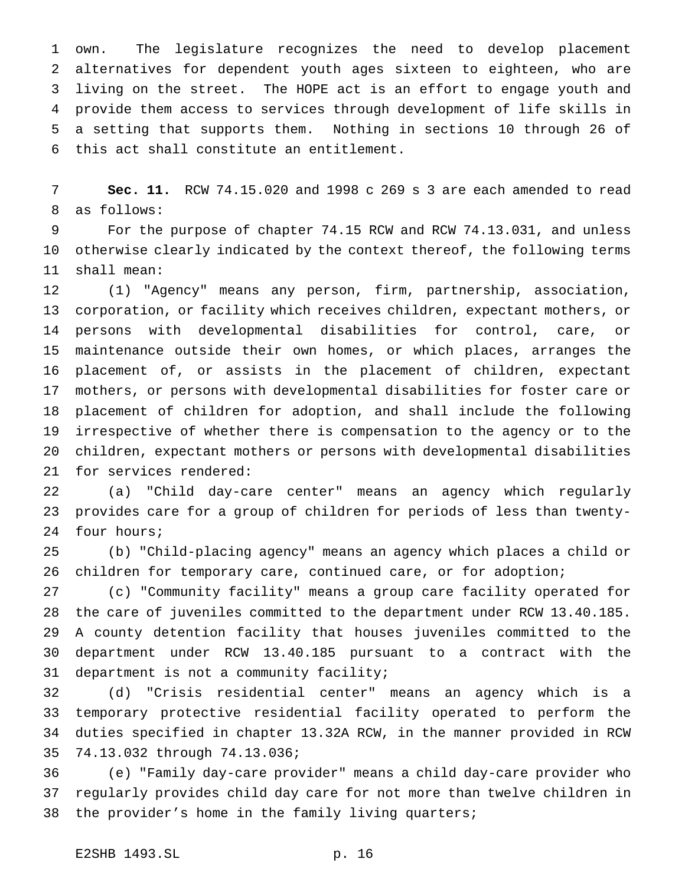own. The legislature recognizes the need to develop placement alternatives for dependent youth ages sixteen to eighteen, who are living on the street. The HOPE act is an effort to engage youth and provide them access to services through development of life skills in a setting that supports them. Nothing in sections 10 through 26 of this act shall constitute an entitlement.

 **Sec. 11.** RCW 74.15.020 and 1998 c 269 s 3 are each amended to read as follows:

 For the purpose of chapter 74.15 RCW and RCW 74.13.031, and unless otherwise clearly indicated by the context thereof, the following terms shall mean:

 (1) "Agency" means any person, firm, partnership, association, corporation, or facility which receives children, expectant mothers, or persons with developmental disabilities for control, care, or maintenance outside their own homes, or which places, arranges the placement of, or assists in the placement of children, expectant mothers, or persons with developmental disabilities for foster care or placement of children for adoption, and shall include the following irrespective of whether there is compensation to the agency or to the children, expectant mothers or persons with developmental disabilities for services rendered:

 (a) "Child day-care center" means an agency which regularly provides care for a group of children for periods of less than twenty-four hours;

 (b) "Child-placing agency" means an agency which places a child or children for temporary care, continued care, or for adoption;

 (c) "Community facility" means a group care facility operated for the care of juveniles committed to the department under RCW 13.40.185. A county detention facility that houses juveniles committed to the department under RCW 13.40.185 pursuant to a contract with the department is not a community facility;

 (d) "Crisis residential center" means an agency which is a temporary protective residential facility operated to perform the duties specified in chapter 13.32A RCW, in the manner provided in RCW 74.13.032 through 74.13.036;

 (e) "Family day-care provider" means a child day-care provider who regularly provides child day care for not more than twelve children in the provider's home in the family living quarters;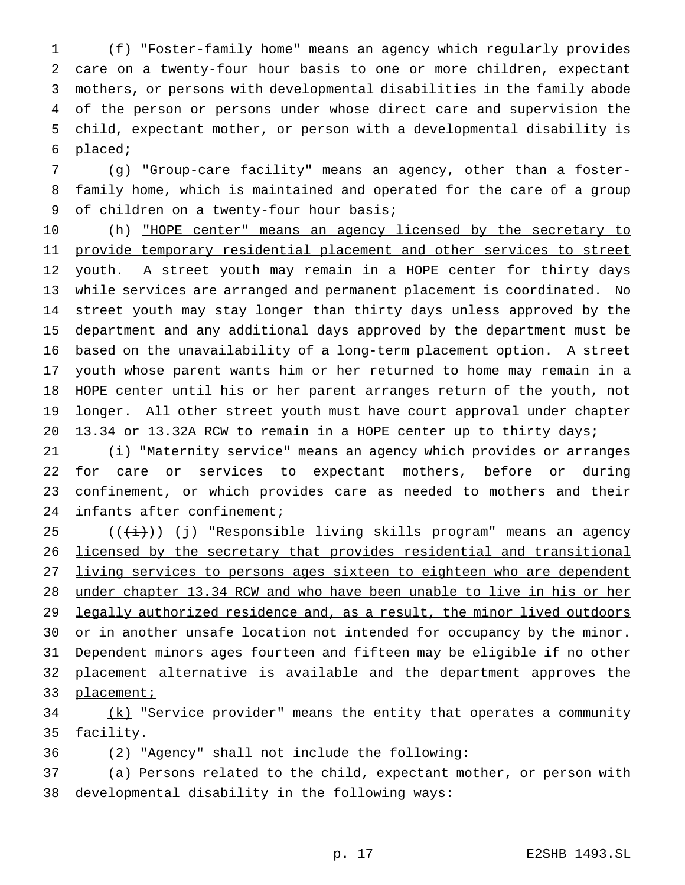(f) "Foster-family home" means an agency which regularly provides care on a twenty-four hour basis to one or more children, expectant mothers, or persons with developmental disabilities in the family abode of the person or persons under whose direct care and supervision the child, expectant mother, or person with a developmental disability is placed;

 (g) "Group-care facility" means an agency, other than a foster- family home, which is maintained and operated for the care of a group of children on a twenty-four hour basis;

10 (h) "HOPE center" means an agency licensed by the secretary to 11 provide temporary residential placement and other services to street 12 youth. A street youth may remain in a HOPE center for thirty days while services are arranged and permanent placement is coordinated. No 14 street youth may stay longer than thirty days unless approved by the department and any additional days approved by the department must be based on the unavailability of a long-term placement option. A street 17 youth whose parent wants him or her returned to home may remain in a HOPE center until his or her parent arranges return of the youth, not 19 longer. All other street youth must have court approval under chapter 13.34 or 13.32A RCW to remain in a HOPE center up to thirty days;

21 (i) "Maternity service" means an agency which provides or arranges for care or services to expectant mothers, before or during confinement, or which provides care as needed to mothers and their infants after confinement;

 ( $(\frac{1}{1})$ ) (j) "Responsible living skills program" means an agency licensed by the secretary that provides residential and transitional 27 living services to persons ages sixteen to eighteen who are dependent under chapter 13.34 RCW and who have been unable to live in his or her 29 legally authorized residence and, as a result, the minor lived outdoors 30 or in another unsafe location not intended for occupancy by the minor. Dependent minors ages fourteen and fifteen may be eligible if no other placement alternative is available and the department approves the 33 placement;

34 (k) "Service provider" means the entity that operates a community facility.

(2) "Agency" shall not include the following:

 (a) Persons related to the child, expectant mother, or person with developmental disability in the following ways: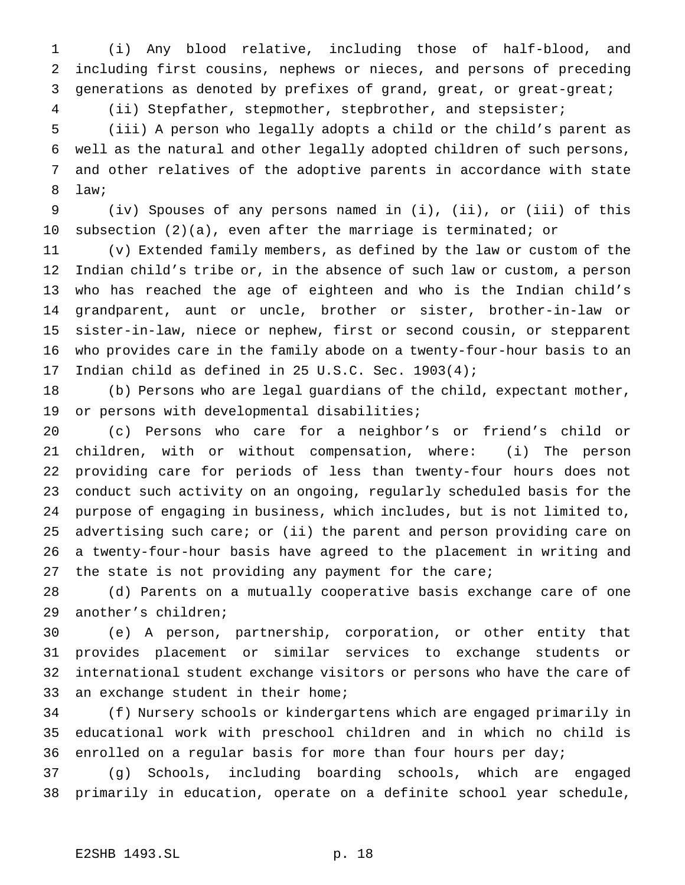(i) Any blood relative, including those of half-blood, and including first cousins, nephews or nieces, and persons of preceding generations as denoted by prefixes of grand, great, or great-great;

(ii) Stepfather, stepmother, stepbrother, and stepsister;

 (iii) A person who legally adopts a child or the child's parent as well as the natural and other legally adopted children of such persons, and other relatives of the adoptive parents in accordance with state law;

 (iv) Spouses of any persons named in (i), (ii), or (iii) of this subsection (2)(a), even after the marriage is terminated; or

 (v) Extended family members, as defined by the law or custom of the Indian child's tribe or, in the absence of such law or custom, a person who has reached the age of eighteen and who is the Indian child's grandparent, aunt or uncle, brother or sister, brother-in-law or sister-in-law, niece or nephew, first or second cousin, or stepparent who provides care in the family abode on a twenty-four-hour basis to an Indian child as defined in 25 U.S.C. Sec. 1903(4);

 (b) Persons who are legal guardians of the child, expectant mother, or persons with developmental disabilities;

 (c) Persons who care for a neighbor's or friend's child or children, with or without compensation, where: (i) The person providing care for periods of less than twenty-four hours does not conduct such activity on an ongoing, regularly scheduled basis for the purpose of engaging in business, which includes, but is not limited to, advertising such care; or (ii) the parent and person providing care on a twenty-four-hour basis have agreed to the placement in writing and 27 the state is not providing any payment for the care;

 (d) Parents on a mutually cooperative basis exchange care of one another's children;

 (e) A person, partnership, corporation, or other entity that provides placement or similar services to exchange students or international student exchange visitors or persons who have the care of an exchange student in their home;

 (f) Nursery schools or kindergartens which are engaged primarily in educational work with preschool children and in which no child is enrolled on a regular basis for more than four hours per day;

 (g) Schools, including boarding schools, which are engaged primarily in education, operate on a definite school year schedule,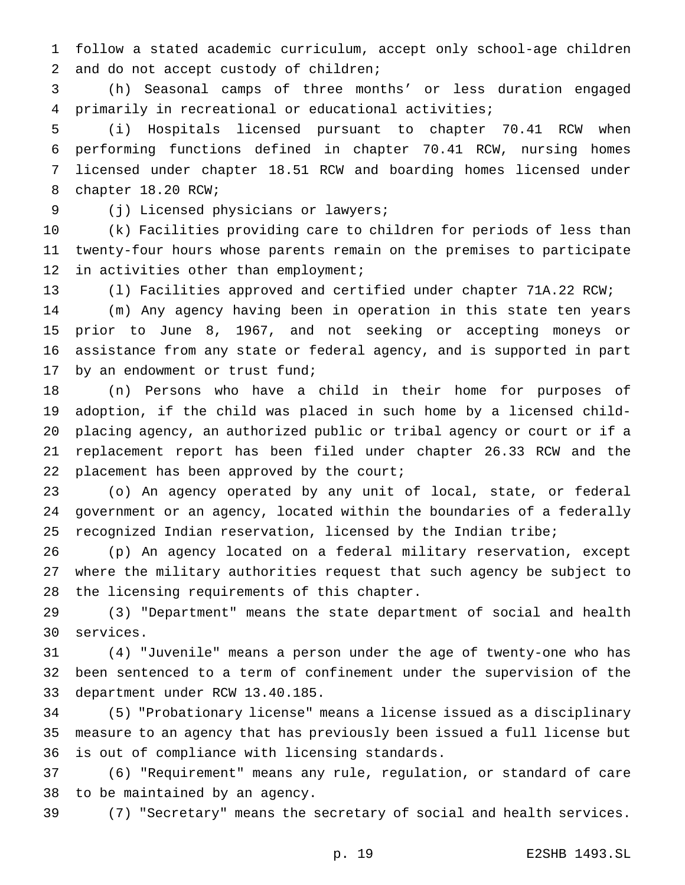follow a stated academic curriculum, accept only school-age children and do not accept custody of children;

 (h) Seasonal camps of three months' or less duration engaged primarily in recreational or educational activities;

 (i) Hospitals licensed pursuant to chapter 70.41 RCW when performing functions defined in chapter 70.41 RCW, nursing homes licensed under chapter 18.51 RCW and boarding homes licensed under chapter 18.20 RCW;

(j) Licensed physicians or lawyers;

 (k) Facilities providing care to children for periods of less than twenty-four hours whose parents remain on the premises to participate 12 in activities other than employment;

(l) Facilities approved and certified under chapter 71A.22 RCW;

 (m) Any agency having been in operation in this state ten years prior to June 8, 1967, and not seeking or accepting moneys or assistance from any state or federal agency, and is supported in part by an endowment or trust fund;

 (n) Persons who have a child in their home for purposes of adoption, if the child was placed in such home by a licensed child- placing agency, an authorized public or tribal agency or court or if a replacement report has been filed under chapter 26.33 RCW and the 22 placement has been approved by the court;

 (o) An agency operated by any unit of local, state, or federal government or an agency, located within the boundaries of a federally recognized Indian reservation, licensed by the Indian tribe;

 (p) An agency located on a federal military reservation, except where the military authorities request that such agency be subject to the licensing requirements of this chapter.

 (3) "Department" means the state department of social and health services.

 (4) "Juvenile" means a person under the age of twenty-one who has been sentenced to a term of confinement under the supervision of the department under RCW 13.40.185.

 (5) "Probationary license" means a license issued as a disciplinary measure to an agency that has previously been issued a full license but is out of compliance with licensing standards.

 (6) "Requirement" means any rule, regulation, or standard of care to be maintained by an agency.

(7) "Secretary" means the secretary of social and health services.

p. 19 E2SHB 1493.SL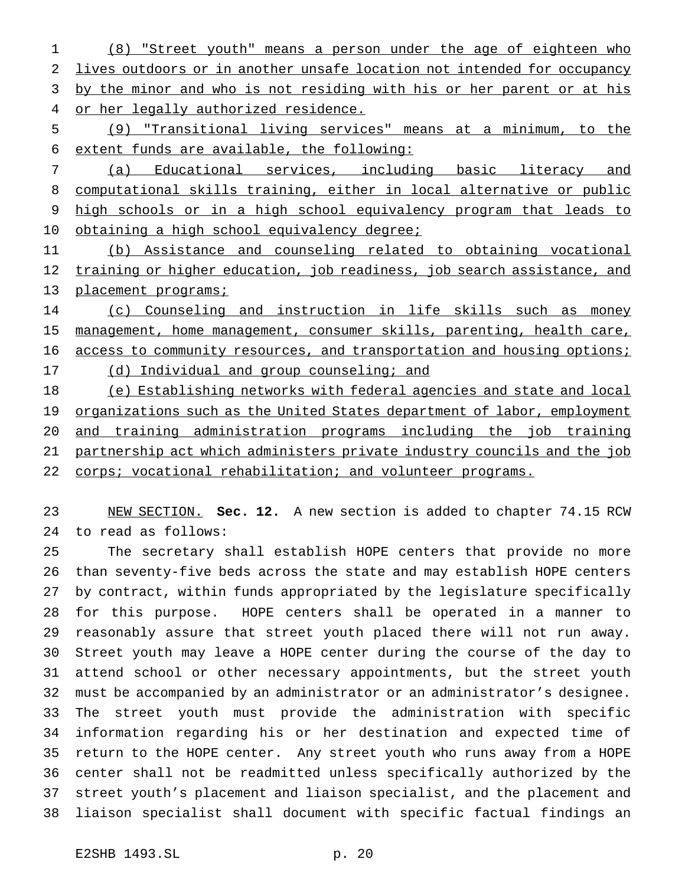(8) "Street youth" means a person under the age of eighteen who lives outdoors or in another unsafe location not intended for occupancy 3 by the minor and who is not residing with his or her parent or at his 4 or her legally authorized residence.

 (9) "Transitional living services" means at a minimum, to the extent funds are available, the following:

 (a) Educational services, including basic literacy and computational skills training, either in local alternative or public high schools or in a high school equivalency program that leads to 10 obtaining a high school equivalency degree;

 (b) Assistance and counseling related to obtaining vocational 12 training or higher education, job readiness, job search assistance, and 13 placement programs;

 (c) Counseling and instruction in life skills such as money management, home management, consumer skills, parenting, health care, 16 access to community resources, and transportation and housing options; (d) Individual and group counseling; and (e) Establishing networks with federal agencies and state and local

19 organizations such as the United States department of labor, employment and training administration programs including the job training partnership act which administers private industry councils and the job 22 corps; vocational rehabilitation; and volunteer programs.

 NEW SECTION. **Sec. 12.** A new section is added to chapter 74.15 RCW to read as follows:

 The secretary shall establish HOPE centers that provide no more than seventy-five beds across the state and may establish HOPE centers by contract, within funds appropriated by the legislature specifically for this purpose. HOPE centers shall be operated in a manner to reasonably assure that street youth placed there will not run away. Street youth may leave a HOPE center during the course of the day to attend school or other necessary appointments, but the street youth must be accompanied by an administrator or an administrator's designee. The street youth must provide the administration with specific information regarding his or her destination and expected time of return to the HOPE center. Any street youth who runs away from a HOPE center shall not be readmitted unless specifically authorized by the street youth's placement and liaison specialist, and the placement and liaison specialist shall document with specific factual findings an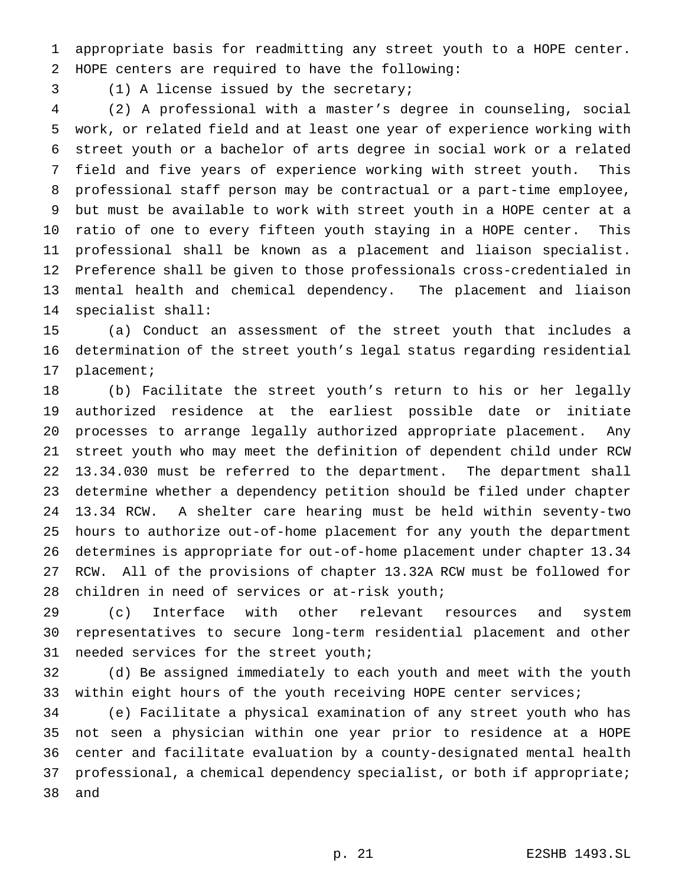appropriate basis for readmitting any street youth to a HOPE center. HOPE centers are required to have the following:

(1) A license issued by the secretary;

 (2) A professional with a master's degree in counseling, social work, or related field and at least one year of experience working with street youth or a bachelor of arts degree in social work or a related field and five years of experience working with street youth. This professional staff person may be contractual or a part-time employee, but must be available to work with street youth in a HOPE center at a ratio of one to every fifteen youth staying in a HOPE center. This professional shall be known as a placement and liaison specialist. Preference shall be given to those professionals cross-credentialed in mental health and chemical dependency. The placement and liaison specialist shall:

 (a) Conduct an assessment of the street youth that includes a determination of the street youth's legal status regarding residential placement;

 (b) Facilitate the street youth's return to his or her legally authorized residence at the earliest possible date or initiate processes to arrange legally authorized appropriate placement. Any street youth who may meet the definition of dependent child under RCW 13.34.030 must be referred to the department. The department shall determine whether a dependency petition should be filed under chapter 13.34 RCW. A shelter care hearing must be held within seventy-two hours to authorize out-of-home placement for any youth the department determines is appropriate for out-of-home placement under chapter 13.34 RCW. All of the provisions of chapter 13.32A RCW must be followed for children in need of services or at-risk youth;

 (c) Interface with other relevant resources and system representatives to secure long-term residential placement and other needed services for the street youth;

 (d) Be assigned immediately to each youth and meet with the youth within eight hours of the youth receiving HOPE center services;

 (e) Facilitate a physical examination of any street youth who has not seen a physician within one year prior to residence at a HOPE center and facilitate evaluation by a county-designated mental health professional, a chemical dependency specialist, or both if appropriate; and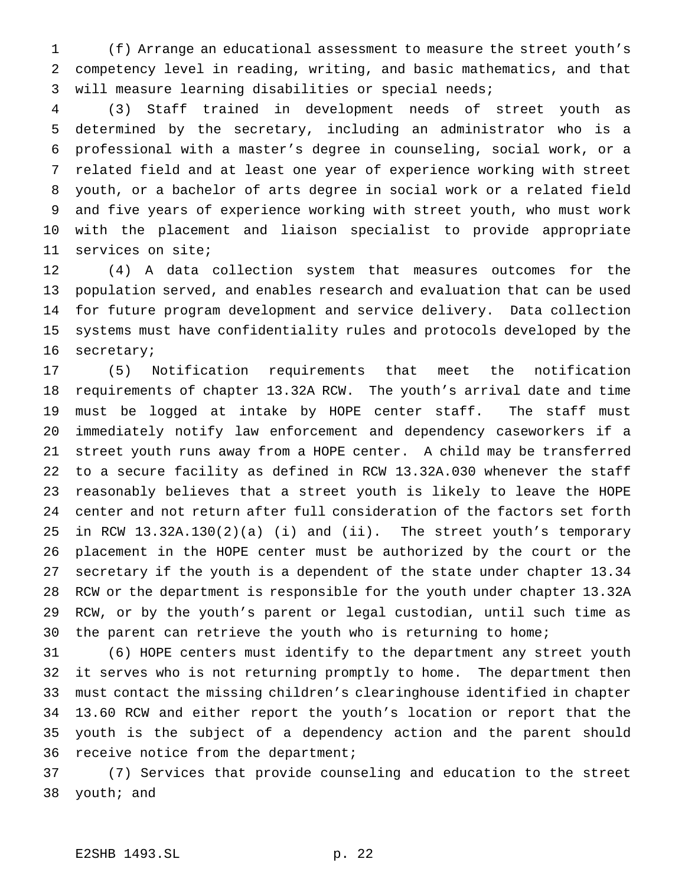(f) Arrange an educational assessment to measure the street youth's competency level in reading, writing, and basic mathematics, and that will measure learning disabilities or special needs;

 (3) Staff trained in development needs of street youth as determined by the secretary, including an administrator who is a professional with a master's degree in counseling, social work, or a related field and at least one year of experience working with street youth, or a bachelor of arts degree in social work or a related field and five years of experience working with street youth, who must work with the placement and liaison specialist to provide appropriate services on site;

 (4) A data collection system that measures outcomes for the population served, and enables research and evaluation that can be used for future program development and service delivery. Data collection systems must have confidentiality rules and protocols developed by the secretary;

 (5) Notification requirements that meet the notification requirements of chapter 13.32A RCW. The youth's arrival date and time must be logged at intake by HOPE center staff. The staff must immediately notify law enforcement and dependency caseworkers if a street youth runs away from a HOPE center. A child may be transferred to a secure facility as defined in RCW 13.32A.030 whenever the staff reasonably believes that a street youth is likely to leave the HOPE center and not return after full consideration of the factors set forth in RCW 13.32A.130(2)(a) (i) and (ii). The street youth's temporary placement in the HOPE center must be authorized by the court or the secretary if the youth is a dependent of the state under chapter 13.34 RCW or the department is responsible for the youth under chapter 13.32A RCW, or by the youth's parent or legal custodian, until such time as 30 the parent can retrieve the youth who is returning to home;

 (6) HOPE centers must identify to the department any street youth it serves who is not returning promptly to home. The department then must contact the missing children's clearinghouse identified in chapter 13.60 RCW and either report the youth's location or report that the youth is the subject of a dependency action and the parent should receive notice from the department;

 (7) Services that provide counseling and education to the street youth; and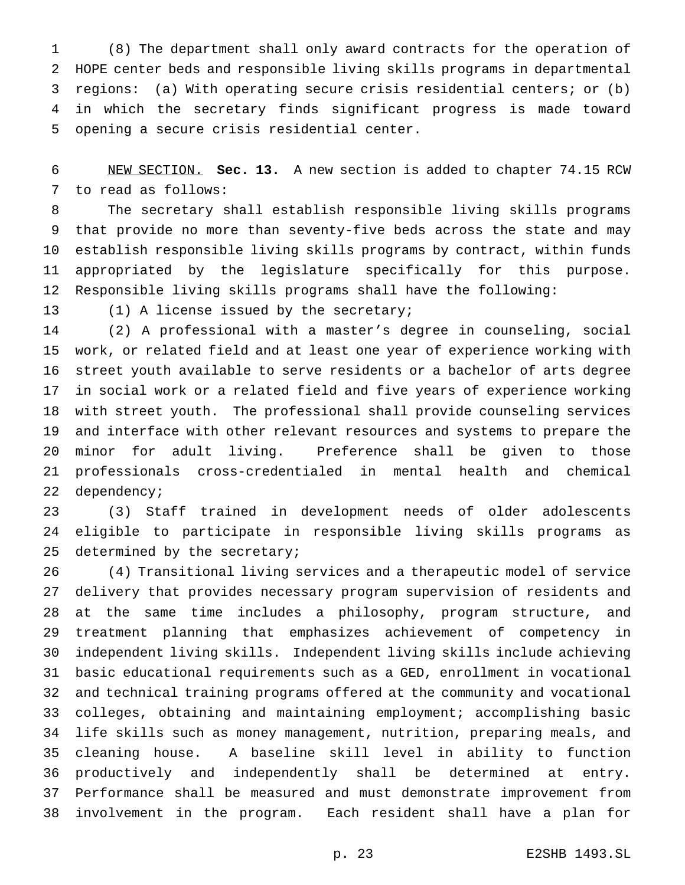(8) The department shall only award contracts for the operation of HOPE center beds and responsible living skills programs in departmental regions: (a) With operating secure crisis residential centers; or (b) in which the secretary finds significant progress is made toward opening a secure crisis residential center.

 NEW SECTION. **Sec. 13.** A new section is added to chapter 74.15 RCW to read as follows:

 The secretary shall establish responsible living skills programs that provide no more than seventy-five beds across the state and may establish responsible living skills programs by contract, within funds appropriated by the legislature specifically for this purpose. Responsible living skills programs shall have the following:

(1) A license issued by the secretary;

 (2) A professional with a master's degree in counseling, social work, or related field and at least one year of experience working with street youth available to serve residents or a bachelor of arts degree in social work or a related field and five years of experience working with street youth. The professional shall provide counseling services and interface with other relevant resources and systems to prepare the minor for adult living. Preference shall be given to those professionals cross-credentialed in mental health and chemical dependency;

 (3) Staff trained in development needs of older adolescents eligible to participate in responsible living skills programs as 25 determined by the secretary;

 (4) Transitional living services and a therapeutic model of service delivery that provides necessary program supervision of residents and at the same time includes a philosophy, program structure, and treatment planning that emphasizes achievement of competency in independent living skills. Independent living skills include achieving basic educational requirements such as a GED, enrollment in vocational and technical training programs offered at the community and vocational colleges, obtaining and maintaining employment; accomplishing basic life skills such as money management, nutrition, preparing meals, and cleaning house. A baseline skill level in ability to function productively and independently shall be determined at entry. Performance shall be measured and must demonstrate improvement from involvement in the program. Each resident shall have a plan for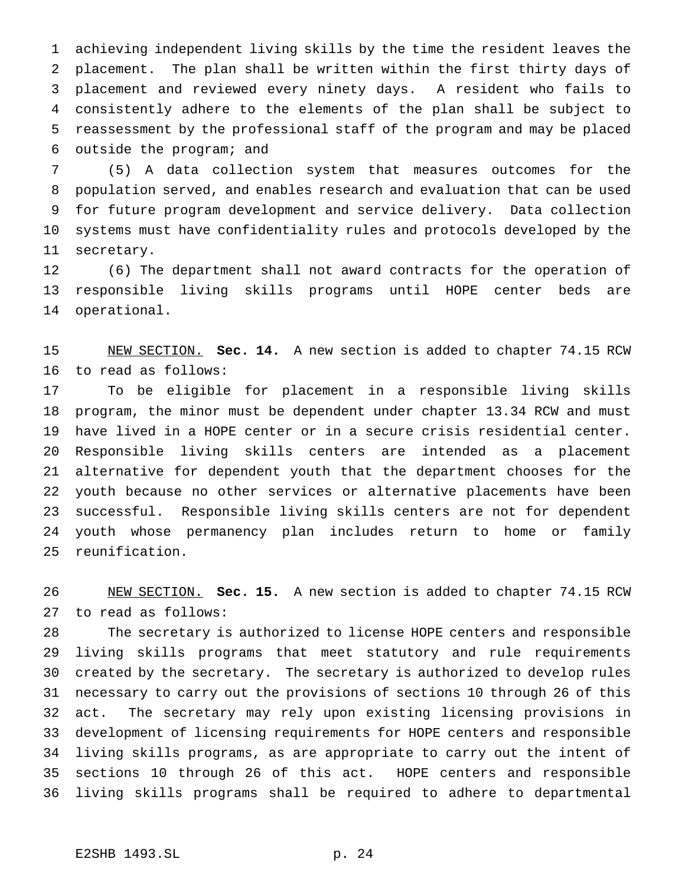achieving independent living skills by the time the resident leaves the placement. The plan shall be written within the first thirty days of placement and reviewed every ninety days. A resident who fails to consistently adhere to the elements of the plan shall be subject to reassessment by the professional staff of the program and may be placed outside the program; and

 (5) A data collection system that measures outcomes for the population served, and enables research and evaluation that can be used for future program development and service delivery. Data collection systems must have confidentiality rules and protocols developed by the secretary.

 (6) The department shall not award contracts for the operation of responsible living skills programs until HOPE center beds are operational.

 NEW SECTION. **Sec. 14.** A new section is added to chapter 74.15 RCW to read as follows:

 To be eligible for placement in a responsible living skills program, the minor must be dependent under chapter 13.34 RCW and must have lived in a HOPE center or in a secure crisis residential center. Responsible living skills centers are intended as a placement alternative for dependent youth that the department chooses for the youth because no other services or alternative placements have been successful. Responsible living skills centers are not for dependent youth whose permanency plan includes return to home or family reunification.

 NEW SECTION. **Sec. 15.** A new section is added to chapter 74.15 RCW to read as follows:

 The secretary is authorized to license HOPE centers and responsible living skills programs that meet statutory and rule requirements created by the secretary. The secretary is authorized to develop rules necessary to carry out the provisions of sections 10 through 26 of this act. The secretary may rely upon existing licensing provisions in development of licensing requirements for HOPE centers and responsible living skills programs, as are appropriate to carry out the intent of sections 10 through 26 of this act. HOPE centers and responsible living skills programs shall be required to adhere to departmental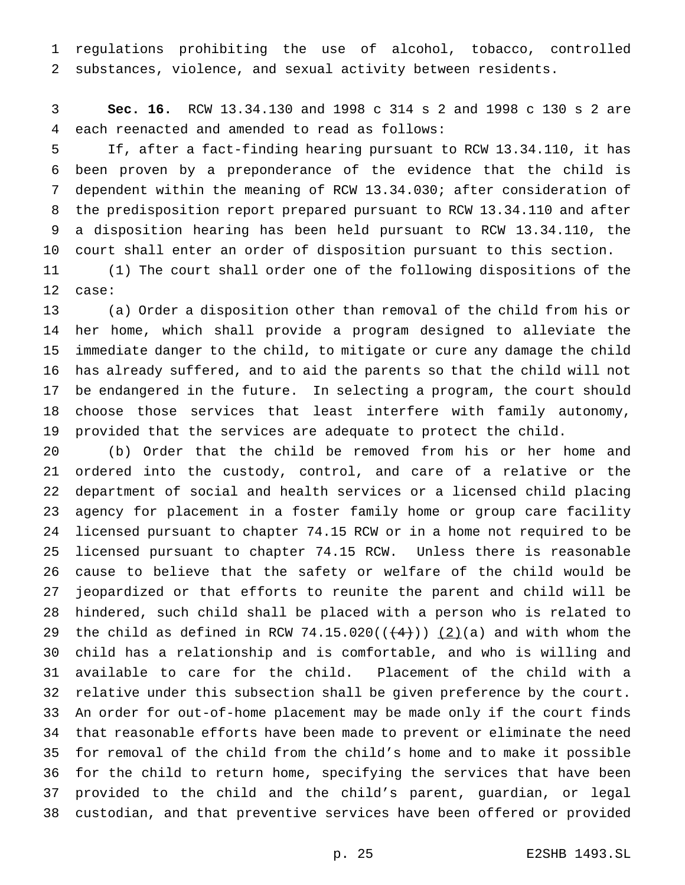regulations prohibiting the use of alcohol, tobacco, controlled substances, violence, and sexual activity between residents.

 **Sec. 16.** RCW 13.34.130 and 1998 c 314 s 2 and 1998 c 130 s 2 are each reenacted and amended to read as follows:

 If, after a fact-finding hearing pursuant to RCW 13.34.110, it has been proven by a preponderance of the evidence that the child is dependent within the meaning of RCW 13.34.030; after consideration of the predisposition report prepared pursuant to RCW 13.34.110 and after a disposition hearing has been held pursuant to RCW 13.34.110, the court shall enter an order of disposition pursuant to this section.

 (1) The court shall order one of the following dispositions of the case:

 (a) Order a disposition other than removal of the child from his or her home, which shall provide a program designed to alleviate the immediate danger to the child, to mitigate or cure any damage the child has already suffered, and to aid the parents so that the child will not be endangered in the future. In selecting a program, the court should choose those services that least interfere with family autonomy, provided that the services are adequate to protect the child.

 (b) Order that the child be removed from his or her home and ordered into the custody, control, and care of a relative or the department of social and health services or a licensed child placing agency for placement in a foster family home or group care facility licensed pursuant to chapter 74.15 RCW or in a home not required to be licensed pursuant to chapter 74.15 RCW. Unless there is reasonable cause to believe that the safety or welfare of the child would be jeopardized or that efforts to reunite the parent and child will be hindered, such child shall be placed with a person who is related to 29 the child as defined in RCW 74.15.020( $(\frac{4}{1})$ )  $(2)(a)$  and with whom the child has a relationship and is comfortable, and who is willing and available to care for the child. Placement of the child with a relative under this subsection shall be given preference by the court. An order for out-of-home placement may be made only if the court finds that reasonable efforts have been made to prevent or eliminate the need for removal of the child from the child's home and to make it possible for the child to return home, specifying the services that have been provided to the child and the child's parent, guardian, or legal custodian, and that preventive services have been offered or provided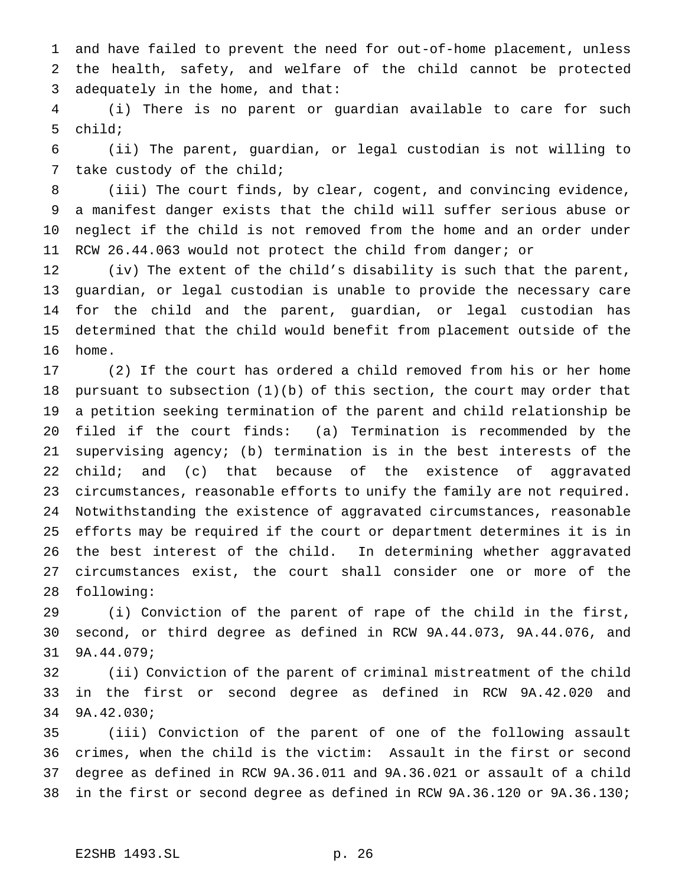and have failed to prevent the need for out-of-home placement, unless the health, safety, and welfare of the child cannot be protected adequately in the home, and that:

 (i) There is no parent or guardian available to care for such child;

 (ii) The parent, guardian, or legal custodian is not willing to take custody of the child;

 (iii) The court finds, by clear, cogent, and convincing evidence, a manifest danger exists that the child will suffer serious abuse or neglect if the child is not removed from the home and an order under RCW 26.44.063 would not protect the child from danger; or

 (iv) The extent of the child's disability is such that the parent, guardian, or legal custodian is unable to provide the necessary care for the child and the parent, guardian, or legal custodian has determined that the child would benefit from placement outside of the home.

 (2) If the court has ordered a child removed from his or her home pursuant to subsection (1)(b) of this section, the court may order that a petition seeking termination of the parent and child relationship be filed if the court finds: (a) Termination is recommended by the supervising agency; (b) termination is in the best interests of the child; and (c) that because of the existence of aggravated circumstances, reasonable efforts to unify the family are not required. Notwithstanding the existence of aggravated circumstances, reasonable efforts may be required if the court or department determines it is in the best interest of the child. In determining whether aggravated circumstances exist, the court shall consider one or more of the following:

 (i) Conviction of the parent of rape of the child in the first, second, or third degree as defined in RCW 9A.44.073, 9A.44.076, and 9A.44.079;

 (ii) Conviction of the parent of criminal mistreatment of the child in the first or second degree as defined in RCW 9A.42.020 and 9A.42.030;

 (iii) Conviction of the parent of one of the following assault crimes, when the child is the victim: Assault in the first or second degree as defined in RCW 9A.36.011 and 9A.36.021 or assault of a child in the first or second degree as defined in RCW 9A.36.120 or 9A.36.130;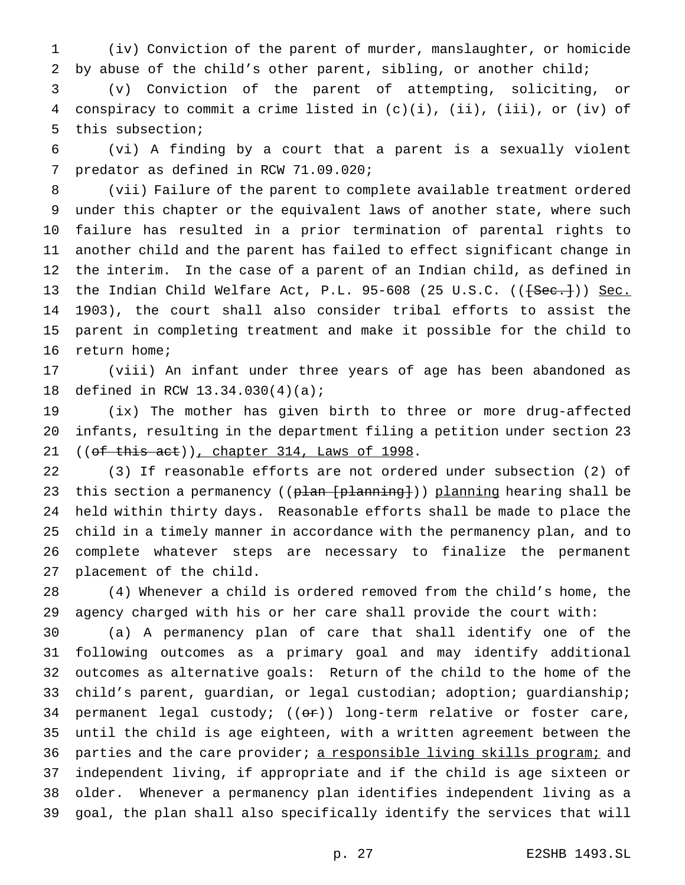(iv) Conviction of the parent of murder, manslaughter, or homicide by abuse of the child's other parent, sibling, or another child;

 (v) Conviction of the parent of attempting, soliciting, or conspiracy to commit a crime listed in (c)(i), (ii), (iii), or (iv) of this subsection;

 (vi) A finding by a court that a parent is a sexually violent predator as defined in RCW 71.09.020;

 (vii) Failure of the parent to complete available treatment ordered under this chapter or the equivalent laws of another state, where such failure has resulted in a prior termination of parental rights to another child and the parent has failed to effect significant change in the interim. In the case of a parent of an Indian child, as defined in 13 the Indian Child Welfare Act, P.L. 95-608 (25 U.S.C. ((<del>[Sec.]</del>)) Sec. 1903), the court shall also consider tribal efforts to assist the parent in completing treatment and make it possible for the child to return home;

 (viii) An infant under three years of age has been abandoned as defined in RCW 13.34.030(4)(a);

 (ix) The mother has given birth to three or more drug-affected infants, resulting in the department filing a petition under section 23 21 ((of this act)), chapter 314, Laws of 1998.

 (3) If reasonable efforts are not ordered under subsection (2) of 23 this section a permanency ((plan [planning])) planning hearing shall be held within thirty days. Reasonable efforts shall be made to place the child in a timely manner in accordance with the permanency plan, and to complete whatever steps are necessary to finalize the permanent placement of the child.

 (4) Whenever a child is ordered removed from the child's home, the agency charged with his or her care shall provide the court with:

 (a) A permanency plan of care that shall identify one of the following outcomes as a primary goal and may identify additional outcomes as alternative goals: Return of the child to the home of the child's parent, guardian, or legal custodian; adoption; guardianship; 34 permanent legal custody;  $((\theta \cdot \hat{r}))$  long-term relative or foster care, until the child is age eighteen, with a written agreement between the 36 parties and the care provider; a responsible living skills program; and independent living, if appropriate and if the child is age sixteen or older. Whenever a permanency plan identifies independent living as a goal, the plan shall also specifically identify the services that will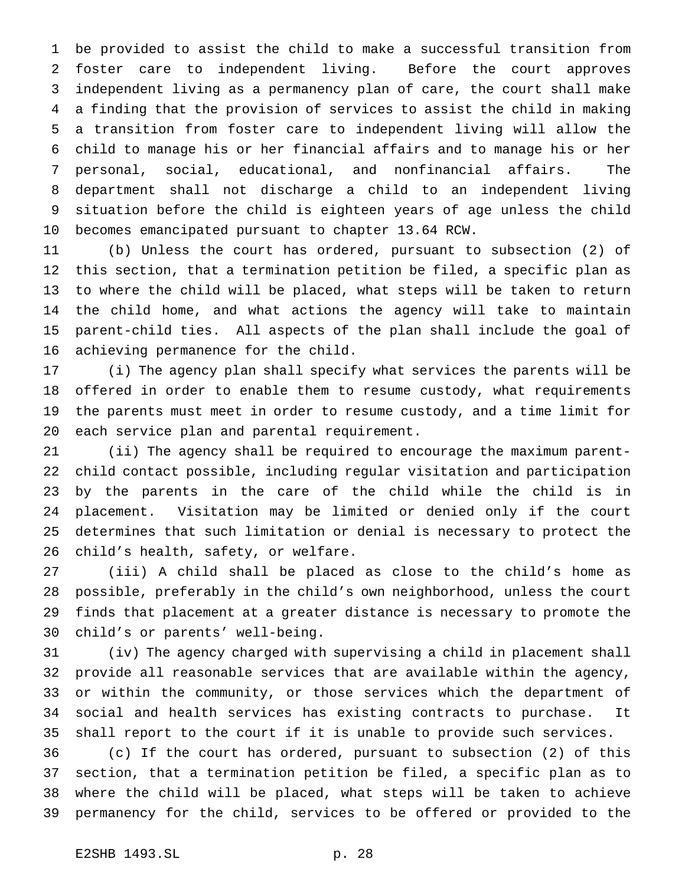be provided to assist the child to make a successful transition from foster care to independent living. Before the court approves independent living as a permanency plan of care, the court shall make a finding that the provision of services to assist the child in making a transition from foster care to independent living will allow the child to manage his or her financial affairs and to manage his or her personal, social, educational, and nonfinancial affairs. The department shall not discharge a child to an independent living situation before the child is eighteen years of age unless the child becomes emancipated pursuant to chapter 13.64 RCW.

 (b) Unless the court has ordered, pursuant to subsection (2) of this section, that a termination petition be filed, a specific plan as to where the child will be placed, what steps will be taken to return the child home, and what actions the agency will take to maintain parent-child ties. All aspects of the plan shall include the goal of achieving permanence for the child.

 (i) The agency plan shall specify what services the parents will be offered in order to enable them to resume custody, what requirements the parents must meet in order to resume custody, and a time limit for each service plan and parental requirement.

 (ii) The agency shall be required to encourage the maximum parent- child contact possible, including regular visitation and participation by the parents in the care of the child while the child is in placement. Visitation may be limited or denied only if the court determines that such limitation or denial is necessary to protect the child's health, safety, or welfare.

 (iii) A child shall be placed as close to the child's home as possible, preferably in the child's own neighborhood, unless the court finds that placement at a greater distance is necessary to promote the child's or parents' well-being.

 (iv) The agency charged with supervising a child in placement shall provide all reasonable services that are available within the agency, or within the community, or those services which the department of social and health services has existing contracts to purchase. It shall report to the court if it is unable to provide such services.

 (c) If the court has ordered, pursuant to subsection (2) of this section, that a termination petition be filed, a specific plan as to where the child will be placed, what steps will be taken to achieve permanency for the child, services to be offered or provided to the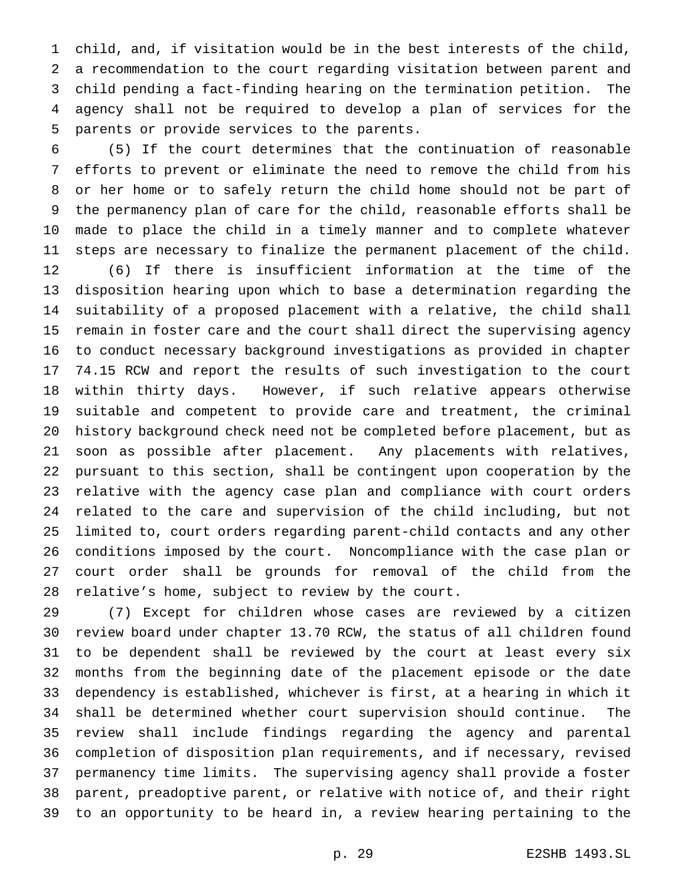child, and, if visitation would be in the best interests of the child, a recommendation to the court regarding visitation between parent and child pending a fact-finding hearing on the termination petition. The agency shall not be required to develop a plan of services for the parents or provide services to the parents.

 (5) If the court determines that the continuation of reasonable efforts to prevent or eliminate the need to remove the child from his or her home or to safely return the child home should not be part of the permanency plan of care for the child, reasonable efforts shall be made to place the child in a timely manner and to complete whatever steps are necessary to finalize the permanent placement of the child. (6) If there is insufficient information at the time of the disposition hearing upon which to base a determination regarding the suitability of a proposed placement with a relative, the child shall remain in foster care and the court shall direct the supervising agency to conduct necessary background investigations as provided in chapter 74.15 RCW and report the results of such investigation to the court within thirty days. However, if such relative appears otherwise suitable and competent to provide care and treatment, the criminal history background check need not be completed before placement, but as soon as possible after placement. Any placements with relatives, pursuant to this section, shall be contingent upon cooperation by the relative with the agency case plan and compliance with court orders related to the care and supervision of the child including, but not limited to, court orders regarding parent-child contacts and any other conditions imposed by the court. Noncompliance with the case plan or court order shall be grounds for removal of the child from the relative's home, subject to review by the court.

 (7) Except for children whose cases are reviewed by a citizen review board under chapter 13.70 RCW, the status of all children found to be dependent shall be reviewed by the court at least every six months from the beginning date of the placement episode or the date dependency is established, whichever is first, at a hearing in which it shall be determined whether court supervision should continue. The review shall include findings regarding the agency and parental completion of disposition plan requirements, and if necessary, revised permanency time limits. The supervising agency shall provide a foster parent, preadoptive parent, or relative with notice of, and their right to an opportunity to be heard in, a review hearing pertaining to the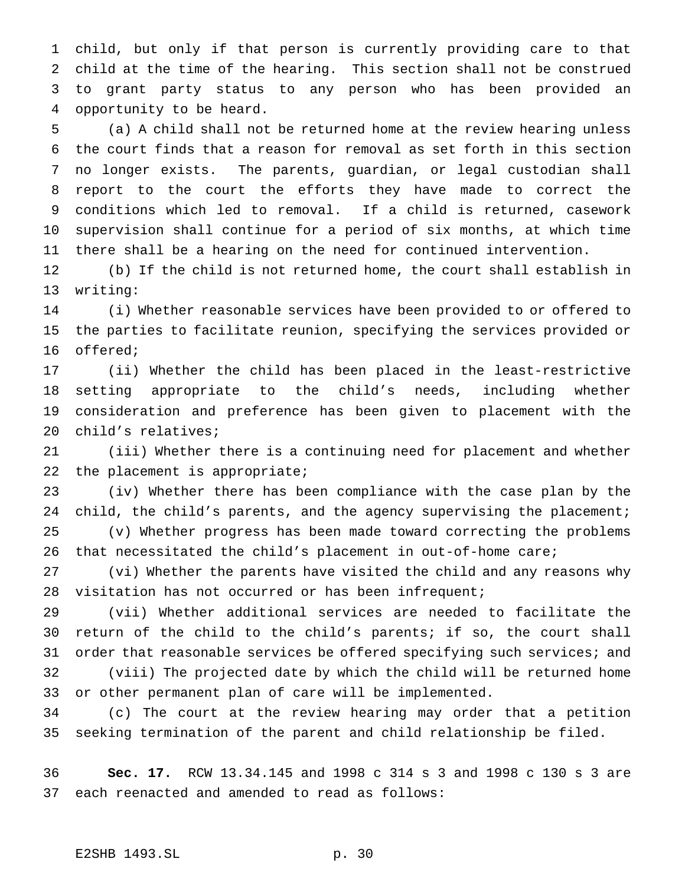child, but only if that person is currently providing care to that child at the time of the hearing. This section shall not be construed to grant party status to any person who has been provided an opportunity to be heard.

 (a) A child shall not be returned home at the review hearing unless the court finds that a reason for removal as set forth in this section no longer exists. The parents, guardian, or legal custodian shall report to the court the efforts they have made to correct the conditions which led to removal. If a child is returned, casework supervision shall continue for a period of six months, at which time there shall be a hearing on the need for continued intervention.

 (b) If the child is not returned home, the court shall establish in writing:

 (i) Whether reasonable services have been provided to or offered to the parties to facilitate reunion, specifying the services provided or offered;

 (ii) Whether the child has been placed in the least-restrictive setting appropriate to the child's needs, including whether consideration and preference has been given to placement with the child's relatives;

 (iii) Whether there is a continuing need for placement and whether the placement is appropriate;

 (iv) Whether there has been compliance with the case plan by the 24 child, the child's parents, and the agency supervising the placement; (v) Whether progress has been made toward correcting the problems

that necessitated the child's placement in out-of-home care;

 (vi) Whether the parents have visited the child and any reasons why visitation has not occurred or has been infrequent;

 (vii) Whether additional services are needed to facilitate the return of the child to the child's parents; if so, the court shall 31 order that reasonable services be offered specifying such services; and (viii) The projected date by which the child will be returned home

or other permanent plan of care will be implemented.

 (c) The court at the review hearing may order that a petition seeking termination of the parent and child relationship be filed.

 **Sec. 17.** RCW 13.34.145 and 1998 c 314 s 3 and 1998 c 130 s 3 are each reenacted and amended to read as follows: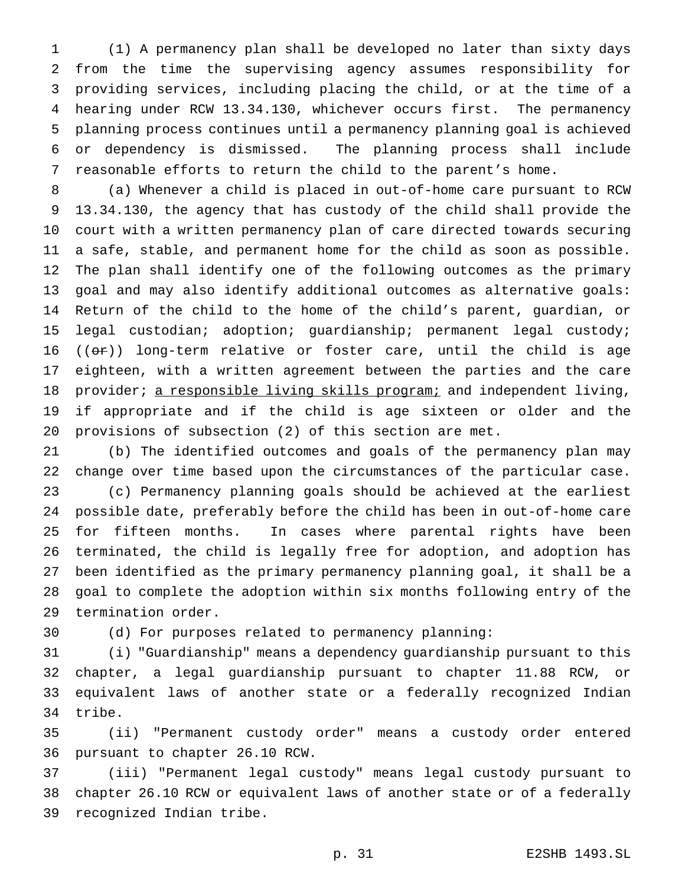(1) A permanency plan shall be developed no later than sixty days from the time the supervising agency assumes responsibility for providing services, including placing the child, or at the time of a hearing under RCW 13.34.130, whichever occurs first. The permanency planning process continues until a permanency planning goal is achieved or dependency is dismissed. The planning process shall include reasonable efforts to return the child to the parent's home.

 (a) Whenever a child is placed in out-of-home care pursuant to RCW 13.34.130, the agency that has custody of the child shall provide the court with a written permanency plan of care directed towards securing a safe, stable, and permanent home for the child as soon as possible. The plan shall identify one of the following outcomes as the primary goal and may also identify additional outcomes as alternative goals: Return of the child to the home of the child's parent, guardian, or legal custodian; adoption; guardianship; permanent legal custody; 16 ( $($ o $)$ ) long-term relative or foster care, until the child is age eighteen, with a written agreement between the parties and the care 18 provider; a responsible living skills program; and independent living, if appropriate and if the child is age sixteen or older and the provisions of subsection (2) of this section are met.

 (b) The identified outcomes and goals of the permanency plan may change over time based upon the circumstances of the particular case. (c) Permanency planning goals should be achieved at the earliest possible date, preferably before the child has been in out-of-home care for fifteen months. In cases where parental rights have been terminated, the child is legally free for adoption, and adoption has been identified as the primary permanency planning goal, it shall be a goal to complete the adoption within six months following entry of the termination order.

(d) For purposes related to permanency planning:

 (i) "Guardianship" means a dependency guardianship pursuant to this chapter, a legal guardianship pursuant to chapter 11.88 RCW, or equivalent laws of another state or a federally recognized Indian tribe.

 (ii) "Permanent custody order" means a custody order entered pursuant to chapter 26.10 RCW.

 (iii) "Permanent legal custody" means legal custody pursuant to chapter 26.10 RCW or equivalent laws of another state or of a federally recognized Indian tribe.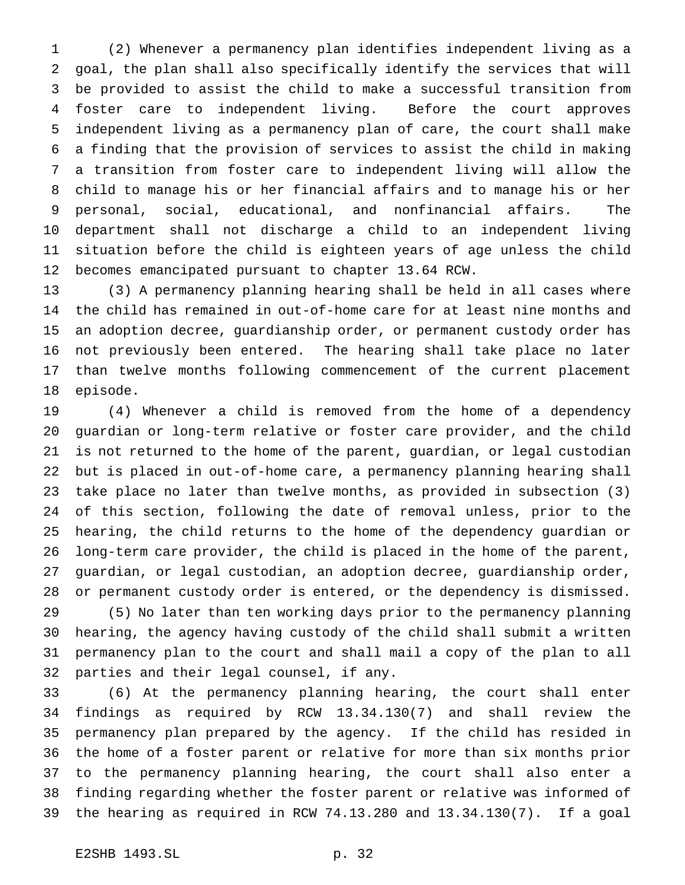(2) Whenever a permanency plan identifies independent living as a goal, the plan shall also specifically identify the services that will be provided to assist the child to make a successful transition from foster care to independent living. Before the court approves independent living as a permanency plan of care, the court shall make a finding that the provision of services to assist the child in making a transition from foster care to independent living will allow the child to manage his or her financial affairs and to manage his or her personal, social, educational, and nonfinancial affairs. The department shall not discharge a child to an independent living situation before the child is eighteen years of age unless the child becomes emancipated pursuant to chapter 13.64 RCW.

 (3) A permanency planning hearing shall be held in all cases where the child has remained in out-of-home care for at least nine months and an adoption decree, guardianship order, or permanent custody order has not previously been entered. The hearing shall take place no later than twelve months following commencement of the current placement episode.

 (4) Whenever a child is removed from the home of a dependency guardian or long-term relative or foster care provider, and the child is not returned to the home of the parent, guardian, or legal custodian but is placed in out-of-home care, a permanency planning hearing shall take place no later than twelve months, as provided in subsection (3) of this section, following the date of removal unless, prior to the hearing, the child returns to the home of the dependency guardian or long-term care provider, the child is placed in the home of the parent, guardian, or legal custodian, an adoption decree, guardianship order, or permanent custody order is entered, or the dependency is dismissed.

 (5) No later than ten working days prior to the permanency planning hearing, the agency having custody of the child shall submit a written permanency plan to the court and shall mail a copy of the plan to all parties and their legal counsel, if any.

 (6) At the permanency planning hearing, the court shall enter findings as required by RCW 13.34.130(7) and shall review the permanency plan prepared by the agency. If the child has resided in the home of a foster parent or relative for more than six months prior to the permanency planning hearing, the court shall also enter a finding regarding whether the foster parent or relative was informed of the hearing as required in RCW 74.13.280 and 13.34.130(7). If a goal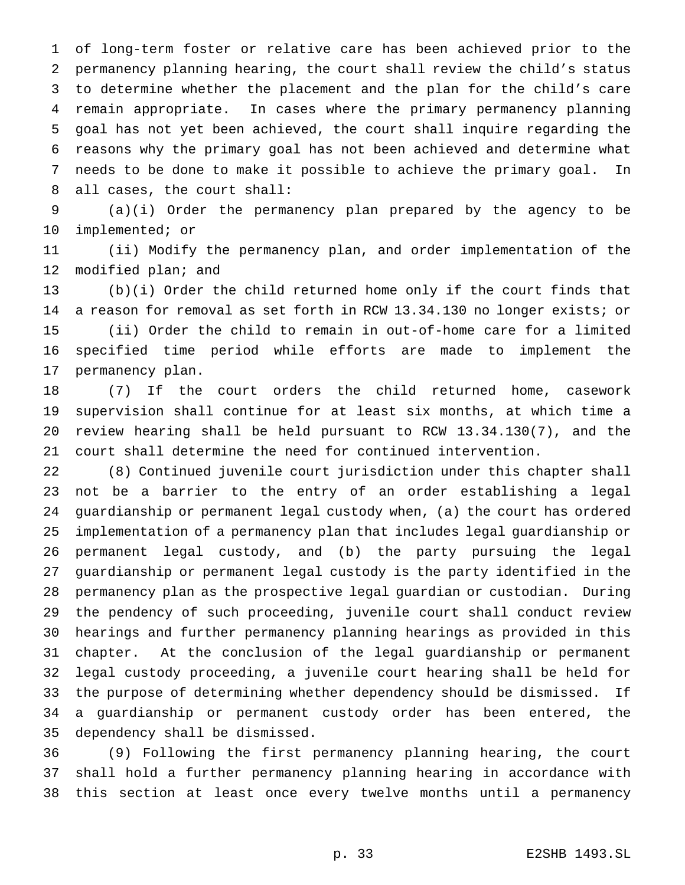of long-term foster or relative care has been achieved prior to the permanency planning hearing, the court shall review the child's status to determine whether the placement and the plan for the child's care remain appropriate. In cases where the primary permanency planning goal has not yet been achieved, the court shall inquire regarding the reasons why the primary goal has not been achieved and determine what needs to be done to make it possible to achieve the primary goal. In all cases, the court shall:

 (a)(i) Order the permanency plan prepared by the agency to be implemented; or

 (ii) Modify the permanency plan, and order implementation of the modified plan; and

 (b)(i) Order the child returned home only if the court finds that a reason for removal as set forth in RCW 13.34.130 no longer exists; or (ii) Order the child to remain in out-of-home care for a limited specified time period while efforts are made to implement the permanency plan.

 (7) If the court orders the child returned home, casework supervision shall continue for at least six months, at which time a review hearing shall be held pursuant to RCW 13.34.130(7), and the court shall determine the need for continued intervention.

 (8) Continued juvenile court jurisdiction under this chapter shall not be a barrier to the entry of an order establishing a legal guardianship or permanent legal custody when, (a) the court has ordered implementation of a permanency plan that includes legal guardianship or permanent legal custody, and (b) the party pursuing the legal guardianship or permanent legal custody is the party identified in the permanency plan as the prospective legal guardian or custodian. During the pendency of such proceeding, juvenile court shall conduct review hearings and further permanency planning hearings as provided in this chapter. At the conclusion of the legal guardianship or permanent legal custody proceeding, a juvenile court hearing shall be held for the purpose of determining whether dependency should be dismissed. If a guardianship or permanent custody order has been entered, the dependency shall be dismissed.

 (9) Following the first permanency planning hearing, the court shall hold a further permanency planning hearing in accordance with this section at least once every twelve months until a permanency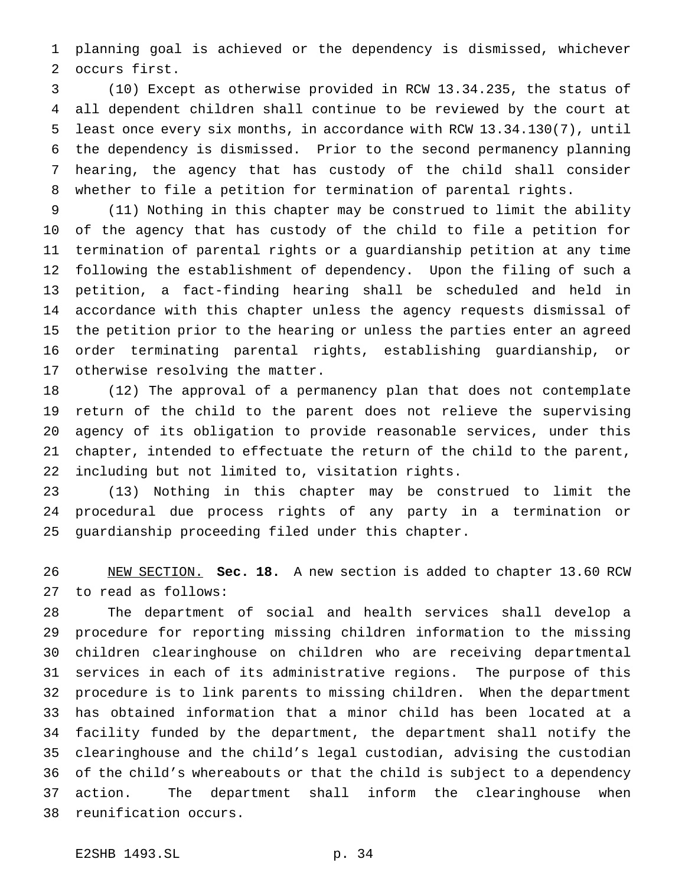planning goal is achieved or the dependency is dismissed, whichever occurs first.

 (10) Except as otherwise provided in RCW 13.34.235, the status of all dependent children shall continue to be reviewed by the court at least once every six months, in accordance with RCW 13.34.130(7), until the dependency is dismissed. Prior to the second permanency planning hearing, the agency that has custody of the child shall consider whether to file a petition for termination of parental rights.

 (11) Nothing in this chapter may be construed to limit the ability of the agency that has custody of the child to file a petition for termination of parental rights or a guardianship petition at any time following the establishment of dependency. Upon the filing of such a petition, a fact-finding hearing shall be scheduled and held in accordance with this chapter unless the agency requests dismissal of the petition prior to the hearing or unless the parties enter an agreed order terminating parental rights, establishing guardianship, or otherwise resolving the matter.

 (12) The approval of a permanency plan that does not contemplate return of the child to the parent does not relieve the supervising agency of its obligation to provide reasonable services, under this chapter, intended to effectuate the return of the child to the parent, including but not limited to, visitation rights.

 (13) Nothing in this chapter may be construed to limit the procedural due process rights of any party in a termination or guardianship proceeding filed under this chapter.

 NEW SECTION. **Sec. 18.** A new section is added to chapter 13.60 RCW to read as follows:

 The department of social and health services shall develop a procedure for reporting missing children information to the missing children clearinghouse on children who are receiving departmental services in each of its administrative regions. The purpose of this procedure is to link parents to missing children. When the department has obtained information that a minor child has been located at a facility funded by the department, the department shall notify the clearinghouse and the child's legal custodian, advising the custodian of the child's whereabouts or that the child is subject to a dependency action. The department shall inform the clearinghouse when reunification occurs.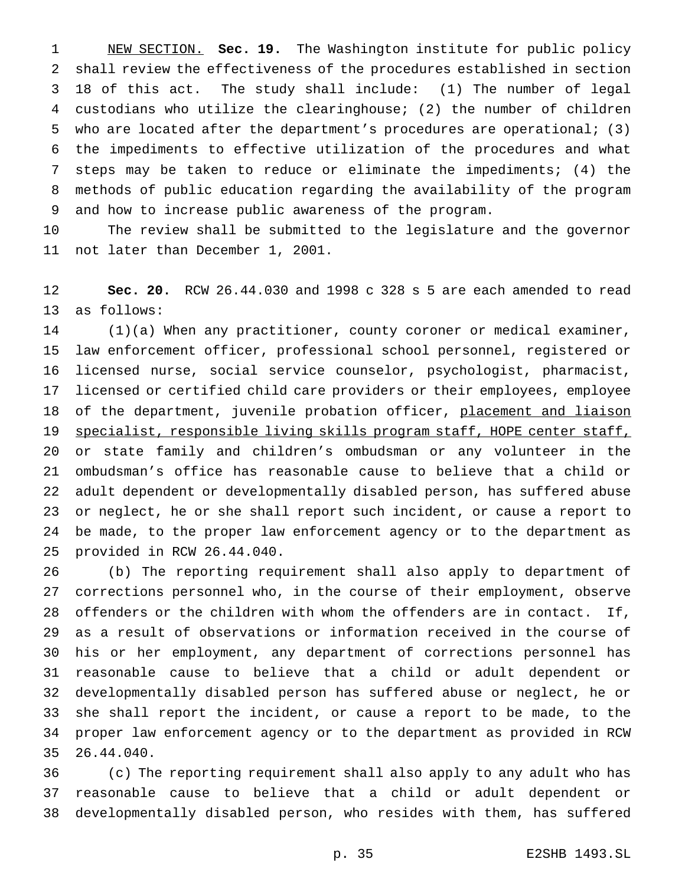NEW SECTION. **Sec. 19.** The Washington institute for public policy shall review the effectiveness of the procedures established in section 18 of this act. The study shall include: (1) The number of legal custodians who utilize the clearinghouse; (2) the number of children who are located after the department's procedures are operational; (3) the impediments to effective utilization of the procedures and what steps may be taken to reduce or eliminate the impediments; (4) the methods of public education regarding the availability of the program and how to increase public awareness of the program.

 The review shall be submitted to the legislature and the governor not later than December 1, 2001.

 **Sec. 20.** RCW 26.44.030 and 1998 c 328 s 5 are each amended to read as follows:

 (1)(a) When any practitioner, county coroner or medical examiner, law enforcement officer, professional school personnel, registered or licensed nurse, social service counselor, psychologist, pharmacist, licensed or certified child care providers or their employees, employee 18 of the department, juvenile probation officer, placement and liaison 19 specialist, responsible living skills program staff, HOPE center staff, or state family and children's ombudsman or any volunteer in the ombudsman's office has reasonable cause to believe that a child or adult dependent or developmentally disabled person, has suffered abuse or neglect, he or she shall report such incident, or cause a report to be made, to the proper law enforcement agency or to the department as provided in RCW 26.44.040.

 (b) The reporting requirement shall also apply to department of corrections personnel who, in the course of their employment, observe offenders or the children with whom the offenders are in contact. If, as a result of observations or information received in the course of his or her employment, any department of corrections personnel has reasonable cause to believe that a child or adult dependent or developmentally disabled person has suffered abuse or neglect, he or she shall report the incident, or cause a report to be made, to the proper law enforcement agency or to the department as provided in RCW 26.44.040.

 (c) The reporting requirement shall also apply to any adult who has reasonable cause to believe that a child or adult dependent or developmentally disabled person, who resides with them, has suffered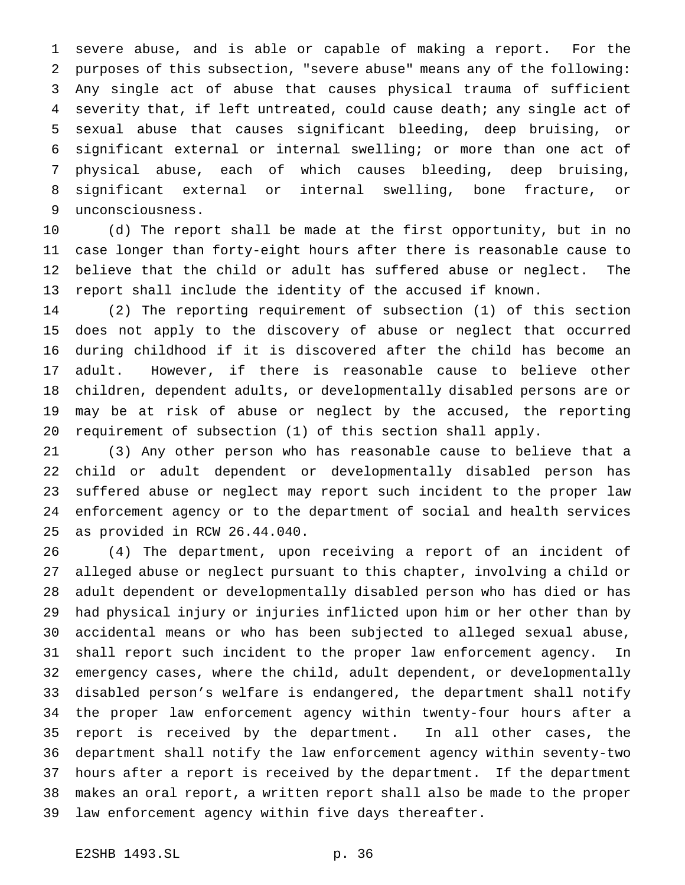severe abuse, and is able or capable of making a report. For the purposes of this subsection, "severe abuse" means any of the following: Any single act of abuse that causes physical trauma of sufficient severity that, if left untreated, could cause death; any single act of sexual abuse that causes significant bleeding, deep bruising, or significant external or internal swelling; or more than one act of physical abuse, each of which causes bleeding, deep bruising, significant external or internal swelling, bone fracture, or unconsciousness.

 (d) The report shall be made at the first opportunity, but in no case longer than forty-eight hours after there is reasonable cause to believe that the child or adult has suffered abuse or neglect. The report shall include the identity of the accused if known.

 (2) The reporting requirement of subsection (1) of this section does not apply to the discovery of abuse or neglect that occurred during childhood if it is discovered after the child has become an adult. However, if there is reasonable cause to believe other children, dependent adults, or developmentally disabled persons are or may be at risk of abuse or neglect by the accused, the reporting requirement of subsection (1) of this section shall apply.

 (3) Any other person who has reasonable cause to believe that a child or adult dependent or developmentally disabled person has suffered abuse or neglect may report such incident to the proper law enforcement agency or to the department of social and health services as provided in RCW 26.44.040.

 (4) The department, upon receiving a report of an incident of alleged abuse or neglect pursuant to this chapter, involving a child or adult dependent or developmentally disabled person who has died or has had physical injury or injuries inflicted upon him or her other than by accidental means or who has been subjected to alleged sexual abuse, shall report such incident to the proper law enforcement agency. In emergency cases, where the child, adult dependent, or developmentally disabled person's welfare is endangered, the department shall notify the proper law enforcement agency within twenty-four hours after a report is received by the department. In all other cases, the department shall notify the law enforcement agency within seventy-two hours after a report is received by the department. If the department makes an oral report, a written report shall also be made to the proper law enforcement agency within five days thereafter.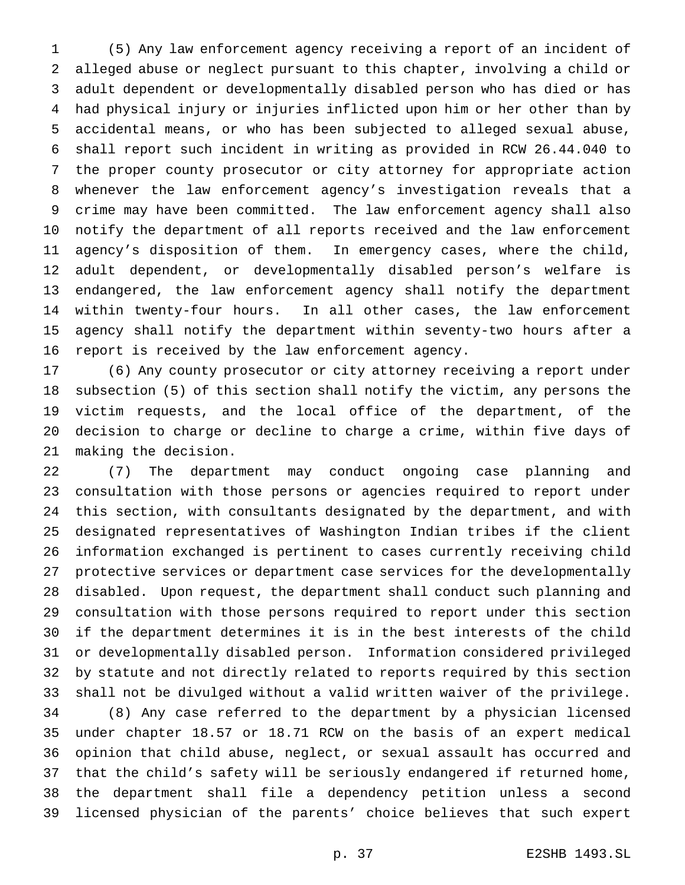(5) Any law enforcement agency receiving a report of an incident of alleged abuse or neglect pursuant to this chapter, involving a child or adult dependent or developmentally disabled person who has died or has had physical injury or injuries inflicted upon him or her other than by accidental means, or who has been subjected to alleged sexual abuse, shall report such incident in writing as provided in RCW 26.44.040 to the proper county prosecutor or city attorney for appropriate action whenever the law enforcement agency's investigation reveals that a crime may have been committed. The law enforcement agency shall also notify the department of all reports received and the law enforcement agency's disposition of them. In emergency cases, where the child, adult dependent, or developmentally disabled person's welfare is endangered, the law enforcement agency shall notify the department within twenty-four hours. In all other cases, the law enforcement agency shall notify the department within seventy-two hours after a report is received by the law enforcement agency.

 (6) Any county prosecutor or city attorney receiving a report under subsection (5) of this section shall notify the victim, any persons the victim requests, and the local office of the department, of the decision to charge or decline to charge a crime, within five days of making the decision.

 (7) The department may conduct ongoing case planning and consultation with those persons or agencies required to report under this section, with consultants designated by the department, and with designated representatives of Washington Indian tribes if the client information exchanged is pertinent to cases currently receiving child protective services or department case services for the developmentally disabled. Upon request, the department shall conduct such planning and consultation with those persons required to report under this section if the department determines it is in the best interests of the child or developmentally disabled person. Information considered privileged by statute and not directly related to reports required by this section shall not be divulged without a valid written waiver of the privilege. (8) Any case referred to the department by a physician licensed under chapter 18.57 or 18.71 RCW on the basis of an expert medical opinion that child abuse, neglect, or sexual assault has occurred and that the child's safety will be seriously endangered if returned home, the department shall file a dependency petition unless a second licensed physician of the parents' choice believes that such expert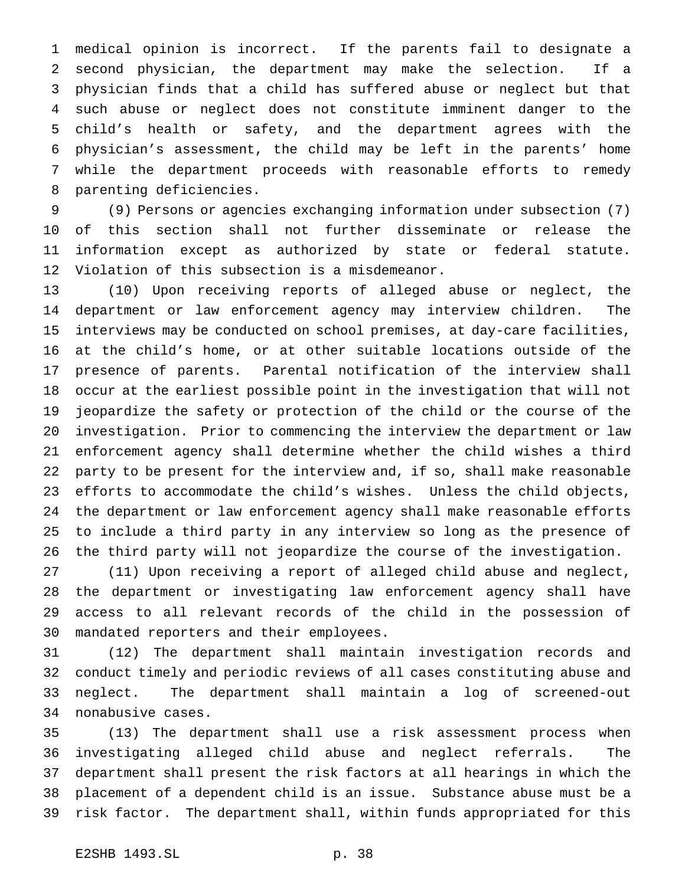medical opinion is incorrect. If the parents fail to designate a second physician, the department may make the selection. If a physician finds that a child has suffered abuse or neglect but that such abuse or neglect does not constitute imminent danger to the child's health or safety, and the department agrees with the physician's assessment, the child may be left in the parents' home while the department proceeds with reasonable efforts to remedy parenting deficiencies.

 (9) Persons or agencies exchanging information under subsection (7) of this section shall not further disseminate or release the information except as authorized by state or federal statute. Violation of this subsection is a misdemeanor.

 (10) Upon receiving reports of alleged abuse or neglect, the department or law enforcement agency may interview children. The interviews may be conducted on school premises, at day-care facilities, at the child's home, or at other suitable locations outside of the presence of parents. Parental notification of the interview shall occur at the earliest possible point in the investigation that will not jeopardize the safety or protection of the child or the course of the investigation. Prior to commencing the interview the department or law enforcement agency shall determine whether the child wishes a third party to be present for the interview and, if so, shall make reasonable efforts to accommodate the child's wishes. Unless the child objects, the department or law enforcement agency shall make reasonable efforts to include a third party in any interview so long as the presence of the third party will not jeopardize the course of the investigation.

 (11) Upon receiving a report of alleged child abuse and neglect, the department or investigating law enforcement agency shall have access to all relevant records of the child in the possession of mandated reporters and their employees.

 (12) The department shall maintain investigation records and conduct timely and periodic reviews of all cases constituting abuse and neglect. The department shall maintain a log of screened-out nonabusive cases.

 (13) The department shall use a risk assessment process when investigating alleged child abuse and neglect referrals. The department shall present the risk factors at all hearings in which the placement of a dependent child is an issue. Substance abuse must be a risk factor. The department shall, within funds appropriated for this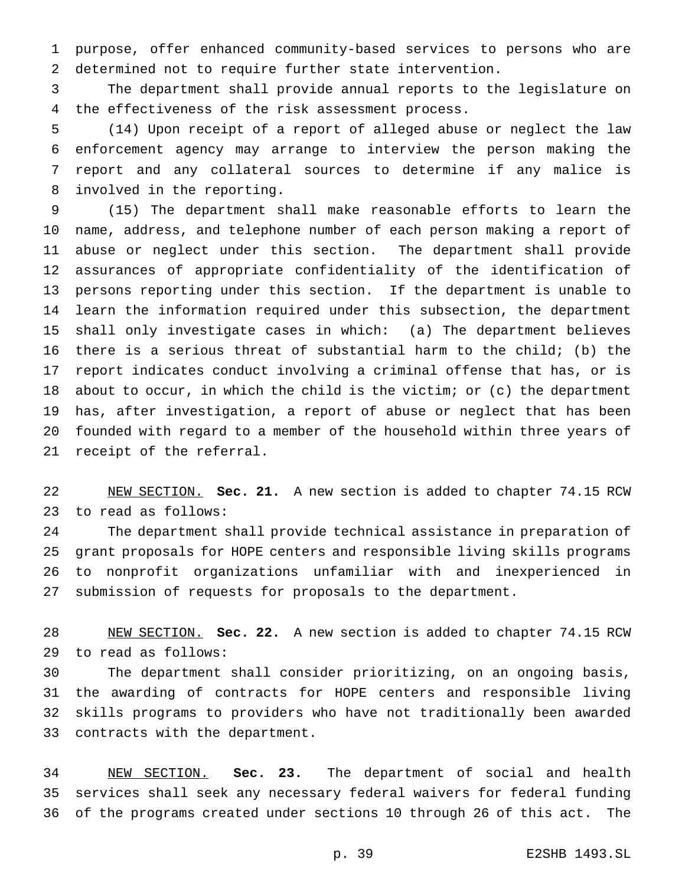purpose, offer enhanced community-based services to persons who are determined not to require further state intervention.

 The department shall provide annual reports to the legislature on the effectiveness of the risk assessment process.

 (14) Upon receipt of a report of alleged abuse or neglect the law enforcement agency may arrange to interview the person making the report and any collateral sources to determine if any malice is involved in the reporting.

 (15) The department shall make reasonable efforts to learn the name, address, and telephone number of each person making a report of abuse or neglect under this section. The department shall provide assurances of appropriate confidentiality of the identification of persons reporting under this section. If the department is unable to learn the information required under this subsection, the department shall only investigate cases in which: (a) The department believes there is a serious threat of substantial harm to the child; (b) the report indicates conduct involving a criminal offense that has, or is about to occur, in which the child is the victim; or (c) the department has, after investigation, a report of abuse or neglect that has been founded with regard to a member of the household within three years of receipt of the referral.

 NEW SECTION. **Sec. 21.** A new section is added to chapter 74.15 RCW to read as follows:

 The department shall provide technical assistance in preparation of grant proposals for HOPE centers and responsible living skills programs to nonprofit organizations unfamiliar with and inexperienced in submission of requests for proposals to the department.

 NEW SECTION. **Sec. 22.** A new section is added to chapter 74.15 RCW to read as follows:

 The department shall consider prioritizing, on an ongoing basis, the awarding of contracts for HOPE centers and responsible living skills programs to providers who have not traditionally been awarded contracts with the department.

 NEW SECTION. **Sec. 23.** The department of social and health services shall seek any necessary federal waivers for federal funding of the programs created under sections 10 through 26 of this act. The